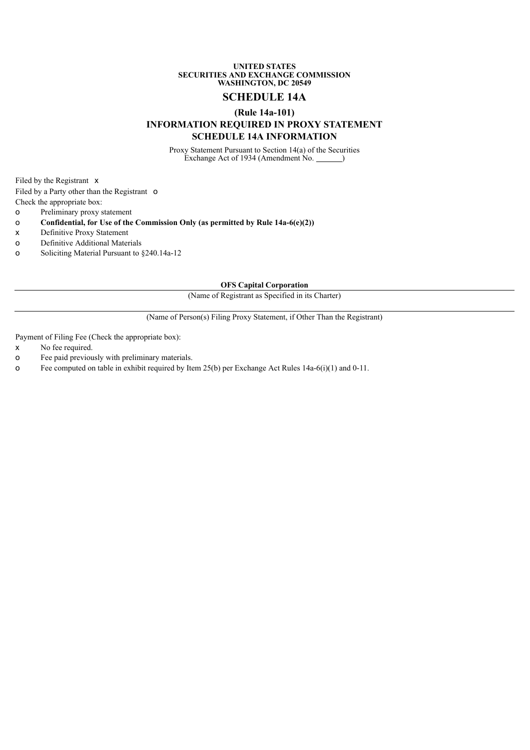#### **UNITED STATES SECURITIES AND EXCHANGE COMMISSION WASHINGTON, DC 20549**

# **SCHEDULE 14A**

# **(Rule 14a-101)**

# **INFORMATION REQUIRED IN PROXY STATEMENT SCHEDULE 14A INFORMATION**

Proxy Statement Pursuant to Section 14(a) of the Securities Exchange Act of 1934 (Amendment No. <u>)</u>

Filed by the Registrant x

Filed by a Party other than the Registrant o

- Check the appropriate box:
- o Preliminary proxy statement
- o **Confidential, for Use of the Commission Only (as permitted by Rule 14a-6(e)(2))**
- x Definitive Proxy Statement
- o Definitive Additional Materials
- o Soliciting Material Pursuant to §240.14a-12

**OFS Capital Corporation**

(Name of Registrant as Specified in its Charter)

(Name of Person(s) Filing Proxy Statement, if Other Than the Registrant)

Payment of Filing Fee (Check the appropriate box):

- x No fee required.
- o Fee paid previously with preliminary materials.
- o Fee computed on table in exhibit required by Item 25(b) per Exchange Act Rules 14a-6(i)(1) and 0-11.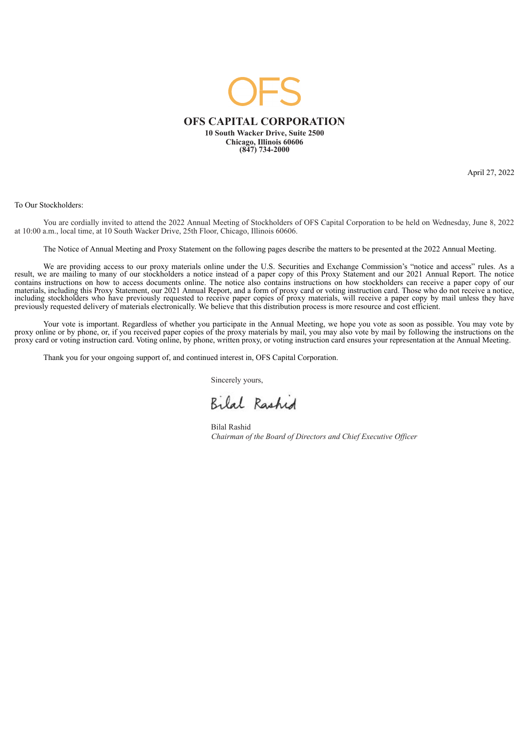

April 27, 2022

To Our Stockholders:

You are cordially invited to attend the 2022 Annual Meeting of Stockholders of OFS Capital Corporation to be held on Wednesday, June 8, 2022 at 10:00 a.m., local time, at 10 South Wacker Drive, 25th Floor, Chicago, Illinois 60606.

The Notice of Annual Meeting and Proxy Statement on the following pages describe the matters to be presented at the 2022 Annual Meeting.

We are providing access to our proxy materials online under the U.S. Securities and Exchange Commission's "notice and access" rules. As a result, we are mailing to many of our stockholders a notice instead of a paper copy of this Proxy Statement and our 2021 Annual Report. The notice contains instructions on how to access documents online. The notice also contains instructions on how stockholders can receive a paper copy of our materials, including this Proxy Statement, our 2021 Annual Report, and a form of proxy card or voting instruction card. Those who do not receive a notice, including stockholders who have previously requested to receive paper copies of proxy materials, will receive a paper copy by mail unless they have previously requested delivery of materials electronically. We believe that this distribution process is more resource and cost efficient.

Your vote is important. Regardless of whether you participate in the Annual Meeting, we hope you vote as soon as possible. You may vote by proxy online or by phone, or, if you received paper copies of the proxy materials by mail, you may also vote by mail by following the instructions on the proxy card or voting instruction card. Voting online, by phone, written proxy, or voting instruction card ensures your representation at the Annual Meeting.

Thank you for your ongoing support of, and continued interest in, OFS Capital Corporation.

Sincerely yours,

Bilal Rashid

Bilal Rashid *Chairman of the Board of Directors and Chief Executive Of icer*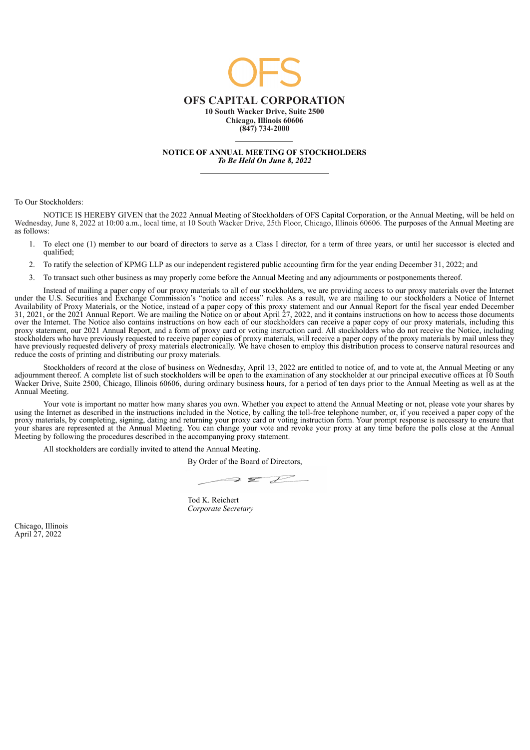

**NOTICE OF ANNUAL MEETING OF STOCKHOLDERS** *To Be Held On June 8, 2022*

To Our Stockholders:

NOTICE IS HEREBY GIVEN that the 2022 Annual Meeting of Stockholders of OFS Capital Corporation, or the Annual Meeting, will be held on<br>Wednesday, June 8, 2022 at 10:00 a.m., local time, at 10 South Wacker Drive, 25th Floor as follows:

- 1. To elect one (1) member to our board of directors to serve as a Class I director, for a term of three years, or until her successor is elected and qualified;
- 2. To ratify the selection of KPMG LLP as our independent registered public accounting firm for the year ending December 31, 2022; and
- 3. To transact such other business as may properly come before the Annual Meeting and any adjournments or postponements thereof.

Instead of mailing a paper copy of our proxy materials to all of our stockholders, we are providing access to our proxy materials over the Internet under the U.S. Securities and Exchange Commission's "notice and access" rules. As a result, we are mailing to our stockholders a Notice of Internet Availability of Proxy Materials, or the Notice, instead of a paper copy of this proxy statement and our Annual Report for the fiscal year ended December 31, 2021, or the 2021 Annual Report. We are mailing the Notice on or about April 27, 2022, and it contains instructions on how to access those documents over the Internet. The Notice also contains instructions on how each of our stockholders can receive a paper copy of our proxy materials, including this proxy statement, our 2021 Annual Report, and a form of proxy card or voting instruction card. All stockholders who do not receive the Notice, including stockholders who have previously requested to receive paper copies of proxy materials, will receive a paper copy of the proxy materials by mail unless they have previously requested delivery of proxy materials electronically. We have chosen to employ this distribution process to conserve natural resources and reduce the costs of printing and distributing our proxy materials.

Stockholders of record at the close of business on Wednesday, April 13, 2022 are entitled to notice of, and to vote at, the Annual Meeting or any adjournment thereof. A complete list of such stockholders will be open to the examination of any stockholder at our principal executive offices at 10 South Wacker Drive, Suite 2500, Chicago, Illinois 60606, during ordinary business hours, for a period of ten days prior to the Annual Meeting as well as at the Annual Meeting.

Your vote is important no matter how many shares you own. Whether you expect to attend the Annual Meeting or not, please vote your shares by using the Internet as described in the instructions included in the Notice, by calling the toll-free telephone number, or, if you received a paper copy of the proxy materials, by completing, signing, dating and returning your proxy card or voting instruction form. Your prompt response is necessary to ensure that your shares are represented at the Annual Meeting. You can change your vote and revoke your proxy at any time before the polls close at the Annual Meeting by following the procedures described in the accompanying proxy statement.

All stockholders are cordially invited to attend the Annual Meeting.

By Order of the Board of Directors,

 $Z^2$  $\supseteq$   $\supseteq$ 

Tod K. Reichert *Corporate Secretary*

Chicago, Illinois April 27, 2022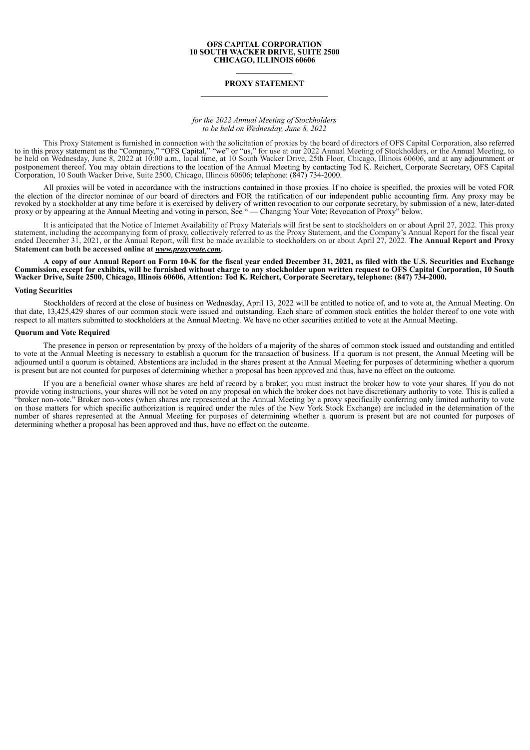#### **OFS CAPITAL CORPORATION 10 SOUTH WACKER DRIVE, SUITE 2500 CHICAGO, ILLINOIS 60606**

## **PROXY STATEMENT**

### *for the 2022 Annual Meeting of Stockholders to be held on Wednesday, June 8, 2022*

This Proxy Statement is furnished in connection with the solicitation of proxies by the board of directors of OFS Capital Corporation, also referred to in this proxy statement as the "Company," "OFS Capital," "we" or "us," for use at our 2022 Annual Meeting of Stockholders, or the Annual Meeting, to be held on Wednesday, June 8, 2022 at 10:00 a.m., local time, at 10 South Wacker Drive, 25th Floor, Chicago, Illinois 60606, and at any adjournment or postponement thereof. You may obtain directions to the location of the Annual Meeting by contacting Tod K. Reichert, Corporate Secretary, OFS Capital Corporation, 10 South Wacker Drive, Suite 2500, Chicago, Illinois 60606; telephone: (847) 734-2000.

All proxies will be voted in accordance with the instructions contained in those proxies. If no choice is specified, the proxies will be voted FOR the election of the director nominee of our board of directors and FOR the ratification of our independent public accounting firm. Any proxy may be revoked by a stockholder at any time before it is exercised by delivery of written revocation to our corporate secretary, by submission of a new, later-dated revoked by a stockholder at any time before it is exercised by d proxy or by appearing at the Annual Meeting and voting in person, See " — Changing Your Vote; Revocation of Proxy" below.

It is anticipated that the Notice of Internet Availability of Proxy Materials will first be sent to stockholders on or about April 27, 2022. This proxy statement, including the accompanying form of proxy, collectively referred to as the Proxy Statement, and the Company's Annual Report for the fiscal year ended December 31, 2021, or the Annual Report, will first be made available to stockholders on or about April 27, 2022. **The Annual Report and Proxy Statement can both be accessed online at** *www.proxyvote.com***.**

A copy of our Annual Report on Form 10-K for the fiscal year ended December 31, 2021, as filed with the U.S. Securities and Exchange Commission, except for exhibits, will be furnished without charge to any stockholder upon written request to OFS Capital Corporation, 10 South Wacker Drive, Suite 2500, Chicago, Illinois 60606, Attention: Tod K. Reichert, Corporate Secretary, telephone: (847) 734-2000.

#### **Voting Securities**

Stockholders of record at the close of business on Wednesday, April 13, 2022 will be entitled to notice of, and to vote at, the Annual Meeting. On that date, 13,425,429 shares of our common stock were issued and outstanding. Each share of common stock entitles the holder thereof to one vote with respect to all matters submitted to stockholders at the Annual Meeting. We have no other securities entitled to vote at the Annual Meeting.

### **Quorum and Vote Required**

The presence in person or representation by proxy of the holders of a majority of the shares of common stock issued and outstanding and entitled to vote at the Annual Meeting is necessary to establish a quorum for the transaction of business. If a quorum is not present, the Annual Meeting will be adjourned until a quorum is obtained. Abstentions are included in the shares present at the Annual Meeting for purposes of determining whether a quorum is present but are not counted for purposes of determining whether a proposal has been approved and thus, have no effect on the outcome.

If you are a beneficial owner whose shares are held of record by a broker, you must instruct the broker how to vote your shares. If you do not provide voting instructions, your shares will not be voted on any proposal on which the broker does not have discretionary authority to vote. This is called a "broker non-vote." Broker non-votes (when shares are represented at the Annual Meeting by a proxy specifically conferring only limited authority to vote on those matters for which specific authorization is required under the rules of the New York Stock Exchange) are included in the determination of the number of shares represented at the Annual Meeting for purposes of determining whether a quorum is present but are not counted for purposes of determining whether a proposal has been approved and thus, have no effect on the outcome.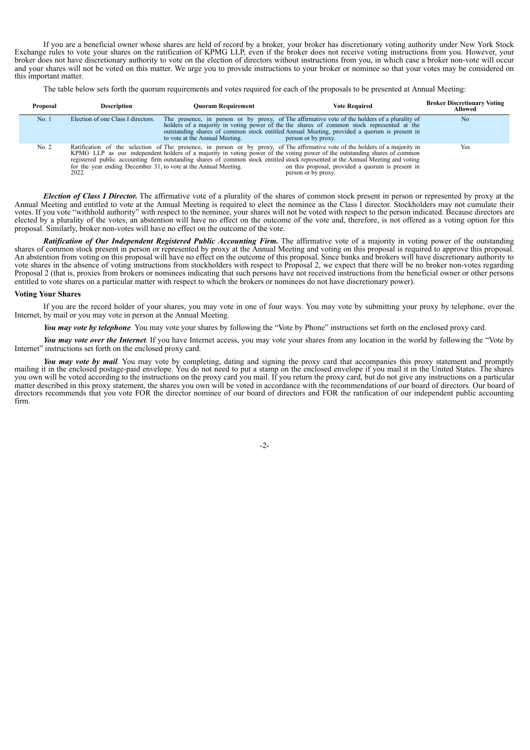If you are a beneficial owner whose shares are held of record by a broker, your broker has discretionary voting authority under New York Stock Exchange rules to vote your shares on the ratification of KPMG LLP, even if the broker does not receive voting instructions from you. However, your broker does not have discretionary authority to vote on the election of directors without instructions from you, in which case a broker non-vote will occur and your shares will not be voted on this matter. We urge you to provide instructions to your broker or nominee so that your votes may be considered on this important matter.

The table below sets forth the quorum requirements and votes required for each of the proposals to be presented at Annual Meeting:

| Proposal | <b>Description</b>                                                       | Ouorum Requirement             | <b>Vote Required</b>                                                                                                                                                                                                                                                                                                                                                                                                                           | <b>Broker Discretionary Voting</b><br>Allowed |
|----------|--------------------------------------------------------------------------|--------------------------------|------------------------------------------------------------------------------------------------------------------------------------------------------------------------------------------------------------------------------------------------------------------------------------------------------------------------------------------------------------------------------------------------------------------------------------------------|-----------------------------------------------|
| No.1     | Election of one Class I directors.                                       | to vote at the Annual Meeting. | The presence, in person or by proxy, of The affirmative vote of the holders of a plurality of holders of a majority in voting power of the the shares of common stock represented at the<br>outstanding shares of common stock entitled Annual Meeting, provided a quorum is present in<br>person or by proxy.                                                                                                                                 | No                                            |
| No. 2    | for the year ending December 31, to vote at the Annual Meeting.<br>2022. |                                | Ratification of the selection of The presence, in person or by proxy, of The affirmative vote of the holders of a majority in KPMG LLP as our independent holders of a majority in voting power of the voting power of the out<br>registered public accounting firm outstanding shares of common stock entitled stock represented at the Annual Meeting and voting<br>on this proposal, provided a quorum is present in<br>person or by proxy. | Yes                                           |

*Election of Class I Director.* The affirmative vote of a plurality of the shares of common stock present in person or represented by proxy at the Annual Meeting and entitled to vote at the Annual Meeting is required to elect the nominee as the Class I director. Stockholders may not cumulate their votes. If you vote "withhold authority" with respect to the nominee, your shares will not be voted with respect to the person indicated. Because directors are elected by a plurality of the votes, an abstention will have no effect on the outcome of the vote and, therefore, is not offered as a voting option for this proposal. Similarly, broker non-votes will have no effect on the outcome of the vote.

*Ratification of Our Independent Registered Public Accounting Firm.* The affirmative vote of a majority in voting power of the outstanding shares of common stock present in person or represented by proxy at the Annual Meeting and voting on this proposal is required to approve this proposal. An abstention from voting on this proposal will have no effect on the outcome of this proposal. Since banks and brokers will have discretionary authority to vote shares in the absence of voting instructions from stockholders with respect to Proposal 2, we expect that there will be no broker non-votes regarding Proposal 2 (that is, proxies from brokers or nominees indicating that such persons have not received instructions from the beneficial owner or other persons entitled to vote shares on a particular matter with respect to which the brokers or nominees do not have discretionary power).

### **Voting Your Shares**

If you are the record holder of your shares, you may vote in one of four ways. You may vote by submitting your proxy by telephone, over the Internet, by mail or you may vote in person at the Annual Meeting.

*You may vote by telephone.* You may vote your shares by following the "Vote by Phone" instructions set forth on the enclosed proxy card.

*You may vote over the Internet.* If you have Internet access, you may vote your shares from any location in the world by following the "Vote by Internet" instructions set forth on the enclosed proxy card.

*You may vote by mail.* You may vote by completing, dating and signing the proxy card that accompanies this proxy statement and promptly mailing it in the enclosed postage-paid envelope. You do not need to put a stamp on the enclosed envelope if you mail it in the United States. The shares you own will be voted according to the instructions on the proxy card you mail. If you return the proxy card, but do not give any instructions on a particular matter described in this proxy statement, the shares you own will be voted in accordance with the recommendations of our board of directors. Our board of directors recommends that you vote FOR the director nominee of our board of directors and FOR the ratification of our independent public accounting firm.

-2-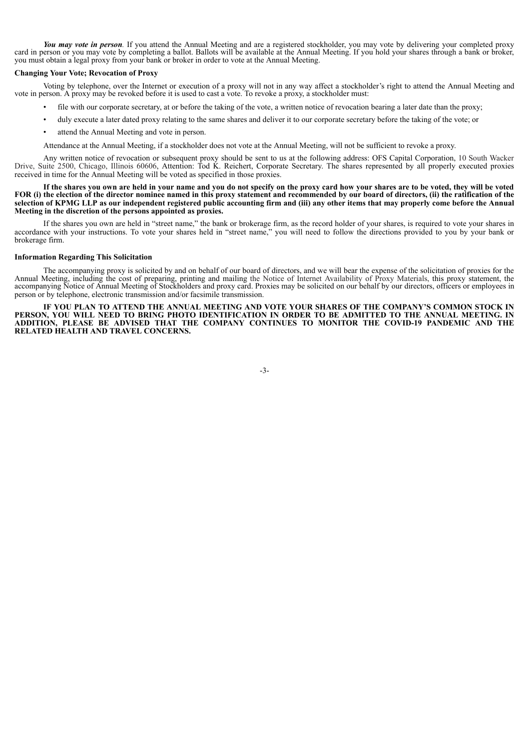*You may vote in person.* If you attend the Annual Meeting and are a registered stockholder, you may vote by delivering your completed proxy card in person or you may vote by completing a ballot. Ballots will be available at the Annual Meeting. If you hold your shares through a bank or broker, you must obtain a legal proxy from your bank or broker in order to vote at the Annual Meeting.

### **Changing Your Vote; Revocation of Proxy**

Voting by telephone, over the Internet or execution of a proxy will not in any way affect a stockholder's right to attend the Annual Meeting and vote in person. A proxy may be revoked before it is used to cast a vote. To revoke a proxy, a stockholder must:

- file with our corporate secretary, at or before the taking of the vote, a written notice of revocation bearing a later date than the proxy;
- duly execute a later dated proxy relating to the same shares and deliver it to our corporate secretary before the taking of the vote; or
- attend the Annual Meeting and vote in person.

Attendance at the Annual Meeting, if a stockholder does not vote at the Annual Meeting, will not be sufficient to revoke a proxy.

Any written notice of revocation or subsequent proxy should be sent to us at the following address: OFS Capital Corporation, 10 South Wacker Drive, Suite 2500, Chicago, Illinois 60606, Attention: Tod K. Reichert, Corporate Secretary. The shares represented by all properly executed proxies received in time for the Annual Meeting will be voted as specified in those proxies.

If the shares you own are held in your name and you do not specify on the proxy card how your shares are to be voted, they will be voted FOR (i) the election of the director nominee named in this proxy statement and recommended by our board of directors, (ii) the ratification of the selection of KPMG LLP as our independent registered public accounting firm and (iii) any other items that may properly come before the Annual **Meeting in the discretion of the persons appointed as proxies.**

If the shares you own are held in "street name," the bank or brokerage firm, as the record holder of your shares, is required to vote your shares in accordance with your instructions. To vote your shares held in "street name," you will need to follow the directions provided to you by your bank or brokerage firm.

#### **Information Regarding This Solicitation**

The accompanying proxy is solicited by and on behalf of our board of directors, and we will bear the expense of the solicitation of proxies for the Annual Meeting, including the cost of preparing, printing and mailing the Notice of Internet Availability of Proxy Materials, this proxy statement, the accompanying Notice of Annual Meeting of Stockholders and proxy card. Proxies may be solicited on our behalf by our directors, officers or employees in person or by telephone, electronic transmission and/or facsimile transmission.

**IF YOU PLAN TO ATTEND THE ANNUAL MEETING AND VOTE YOUR SHARES OF THE COMPANY'S COMMON STOCK IN** PERSON, YOU WILL NEED TO BRING PHOTO IDENTIFICATION IN ORDER TO BE ADMITTED TO THE ANNUAL MEETING. IN **ADDITION, PLEASE BE ADVISED THAT THE COMPANY CONTINUES TO MONITOR THE COVID-19 PANDEMIC AND THE RELATED HEALTH AND TRAVEL CONCERNS.**

-3-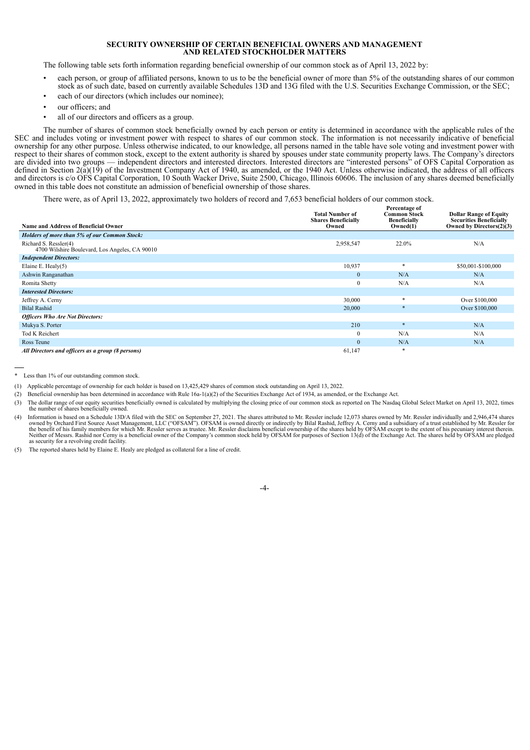### **SECURITY OWNERSHIP OF CERTAIN BENEFICIAL OWNERS AND MANAGEMENT AND RELATED STOCKHOLDER MATTERS**

The following table sets forth information regarding beneficial ownership of our common stock as of April 13, 2022 by:

- each person, or group of affiliated persons, known to us to be the beneficial owner of more than 5% of the outstanding shares of our common stock as of such date, based on currently available Schedules 13D and 13G filed with the U.S. Securities Exchange Commission, or the SEC;
- each of our directors (which includes our nominee);
- our officers; and
- all of our directors and officers as a group.

The number of shares of common stock beneficially owned by each person or entity is determined in accordance with the applicable rules of the SEC and includes voting or investment power with respect to shares of our common stock. The information is not necessarily indicative of beneficial ownership for any other purpose. Unless otherwise indicated, to our knowledge, all persons named in the table have sole voting and investment power with respect to their shares of common stock, except to the extent authority is shared by spouses under state community property laws. The Company's directors are divided into two groups — independent directors and interested directors. Interested directors are "interested persons" of OFS Capital Corporation as defined in Section 2(a)(19) of the Investment Company Act of 1940, as amended, or the 1940 Act. Unless otherwise indicated, the address of all officers and directors is c/o OFS Capital Corporation, 10 South Wacker Drive, Suite 2500, Chicago, Illinois 60606. The inclusion of any shares deemed beneficially owned in this table does not constitute an admission of beneficial ownership of those shares.

There were, as of April 13, 2022, approximately two holders of record and 7,653 beneficial holders of our common stock.

| <b>Name and Address of Beneficial Owner</b>                             | <b>Total Number of</b><br><b>Shares Beneficially</b><br>Owned | Percentage of<br><b>Common Stock</b><br><b>Beneficially</b><br>Owned(1) | <b>Dollar Range of Equity</b><br><b>Securities Beneficially</b><br>Owned by Directors $(2)(3)$ |
|-------------------------------------------------------------------------|---------------------------------------------------------------|-------------------------------------------------------------------------|------------------------------------------------------------------------------------------------|
| Holders of more than 5% of our Common Stock:                            |                                                               |                                                                         |                                                                                                |
| Richard S. Ressler(4)<br>4700 Wilshire Boulevard, Los Angeles, CA 90010 | 2,958,547                                                     | 22.0%                                                                   | N/A                                                                                            |
| <b>Independent Directors:</b>                                           |                                                               |                                                                         |                                                                                                |
| Elaine E. Healy $(5)$                                                   | 10,937                                                        | $\frac{1}{2}$                                                           | \$50,001-\$100,000                                                                             |
| Ashwin Ranganathan                                                      | $\mathbf{0}$                                                  | N/A                                                                     | N/A                                                                                            |
| Romita Shetty                                                           | $\mathbf{0}$                                                  | N/A                                                                     | N/A                                                                                            |
| <b>Interested Directors:</b>                                            |                                                               |                                                                         |                                                                                                |
| Jeffrey A. Cerny                                                        | 30,000                                                        | $\frac{1}{2}$                                                           | Over \$100,000                                                                                 |
| <b>Bilal Rashid</b>                                                     | 20,000                                                        |                                                                         | Over \$100,000                                                                                 |
| <b>Officers Who Are Not Directors:</b>                                  |                                                               |                                                                         |                                                                                                |
| Mukya S. Porter                                                         | 210                                                           | $\frac{1}{2}$                                                           | N/A                                                                                            |
| <b>Tod K Reichert</b>                                                   | $\mathbf{0}$                                                  | N/A                                                                     | N/A                                                                                            |
| Ross Teune                                                              | $\mathbf{0}$                                                  | N/A                                                                     | N/A                                                                                            |
| All Directors and officers as a group (8 persons)                       | 61,147                                                        | <b>sk</b>                                                               |                                                                                                |

\* Less than 1% of our outstanding common stock.

- (1) Applicable percentage of ownership for each holder is based on 13,425,429 shares of common stock outstanding on April 13, 2022.
- (2) Beneficial ownership has been determined in accordance with Rule 16a-1(a)(2) of the Securities Exchange Act of 1934, as amended, or the Exchange Act.
- (3) The dollar range of our equity securities beneficially owned is calculated by multiplying the closing price of our common stock as reported on The Nasdaq Global Select Market on April 13, 2022, times the number of shares beneficially owned.
- (4) Information is based on a Schedule 13D/A filed with the SEC on September 27, 2021. The shares attributed to Mr. Ressler include 12,073 shares owned by Mr. Ressler individually and 2,946,474 shares owned by Orchard Firs as security for a revolving credit facility.
- (5) The reported shares held by Elaine E. Healy are pledged as collateral for a line of credit.

-4-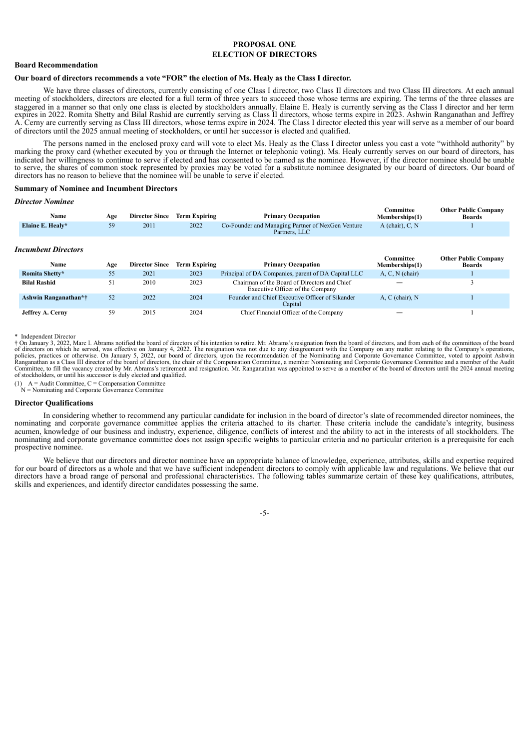# **PROPOSAL ONE ELECTION OF DIRECTORS**

# **Board Recommendation**

## **Our board of directors recommends a vote "FOR" the election of Ms. Healy as the Class I director.**

We have three classes of directors, currently consisting of one Class I director, two Class II directors and two Class III directors. At each annual meeting of stockholders, directors are elected for a full term of three years to succeed those whose terms are expiring. The terms of the three classes are staggered in a manner so that only one class is elected by stockholders annually. Elaine E. Healy is currently serving as the Class I director and her term expires in 2022. Romita Shetty and Bilal Rashid are currently serving as Class II directors, whose terms expire in 2023. Ashwin Ranganathan and Jeffrey A. Cerny are currently serving as Class III directors, whose terms expire in 2024. The Class I director elected this year will serve as a member of our board of directors until the 2025 annual meeting of stockholders, or until her successor is elected and qualified.

The persons named in the enclosed proxy card will vote to elect Ms. Healy as the Class I director unless you cast a vote "withhold authority" by marking the proxy card (whether executed by you or through the Internet or telephonic voting). Ms. Healy currently serves on our board of directors, has indicated her willingness to continue to serve if elected and has consented to be named as the nominee. However, if the director nominee should be unable to serve, the shares of common stock represented by proxies may be voted for a substitute nominee designated by our board of directors. Our board of directors has no reason to believe that the nominee will be unable to serve if elected.

### **Summary of Nominee and Incumbent Directors**

#### *Director Nominee*

| Name             | Age | <b>Director Since</b> | <b>Term Expiring</b> | <b>Primary Occupation</b>                                          | Committee<br>Memberships(1) | <b>Other Public Company</b><br><b>Boards</b> |
|------------------|-----|-----------------------|----------------------|--------------------------------------------------------------------|-----------------------------|----------------------------------------------|
| Elaine E. Healy* |     | 2011                  | 2022                 | Co-Founder and Managing Partner of NexGen Venture<br>Partners, LLC | A (chair), $C, N$           |                                              |

| Incumbent Directors     |     |                       |                      |                                                                                  |                             |                                              |  |
|-------------------------|-----|-----------------------|----------------------|----------------------------------------------------------------------------------|-----------------------------|----------------------------------------------|--|
| Name                    | Age | <b>Director Since</b> | <b>Term Expiring</b> | <b>Primary Occupation</b>                                                        | Committee<br>Memberships(1) | <b>Other Public Company</b><br><b>Boards</b> |  |
| Romita Shetty*          | 55  | 2021                  | 2023                 | Principal of DA Companies, parent of DA Capital LLC                              | $A, C, N$ (chair)           |                                              |  |
| <b>Bilal Rashid</b>     | 51  | 2010                  | 2023                 | Chairman of the Board of Directors and Chief<br>Executive Officer of the Company |                             |                                              |  |
| Ashwin Ranganathan*†    | 52  | 2022                  | 2024                 | Founder and Chief Executive Officer of Sikander<br>Capital                       | $A, C$ (chair), $N$         |                                              |  |
| <b>Jeffrey A. Cerny</b> | 59  | 2015                  | 2024                 | Chief Financial Officer of the Company                                           |                             |                                              |  |

\* Independent Director

† On January 3, 2022, Marc I. Abrams notified the board of directors of his intention to retire. Mr. Abrams's resignation from the board of directors, and from each of the committees of the board<br>policies, practices or oth Committee, to fill the vacancy created by Mr. Abrams's retirement and resignation. Mr. Ranganathan was appointed to serve as a member of the board of directors until the 2024 annual meeting of stockholders, or until his successor is duly elected and qualified.

(1)  $A =$  Audit Committee,  $C =$  Compensation Committee  $N =$  Nominating and Corporate Governance Committee

#### **Director Qualifications**

In considering whether to recommend any particular candidate for inclusion in the board of director's slate of recommended director nominees, the nominating and corporate governance committee applies the criteria attached to its charter. These criteria include the candidate's integrity, business acumen, knowledge of our business and industry, experience, diligence, conflicts of interest and the ability to act in the interests of all stockholders. The nominating and corporate governance committee does not assign specific weights to particular criteria and no particular criterion is a prerequisite for each prospective nominee.

We believe that our directors and director nominee have an appropriate balance of knowledge, experience, attributes, skills and expertise required for our board of directors as a whole and that we have sufficient independent directors to comply with applicable law and regulations. We believe that our directors have a broad range of personal and professional characteristics. The following tables summarize certain of these key qualifications, attributes, skills and experiences, and identify director candidates possessing the same.

-5-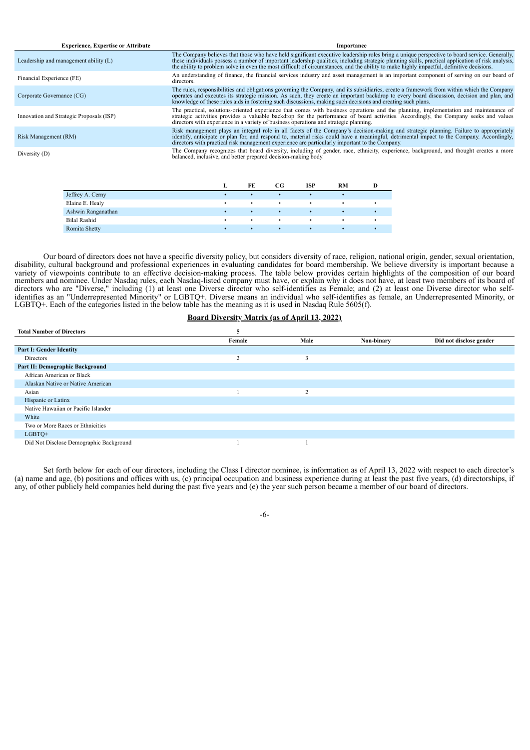| <b>Experience, Expertise or Attribute</b> | Importance                                                                                                                                                                                                                                                                                                                                                                            |
|-------------------------------------------|---------------------------------------------------------------------------------------------------------------------------------------------------------------------------------------------------------------------------------------------------------------------------------------------------------------------------------------------------------------------------------------|
| Leadership and management ability (L)     | The Company believes that those who have held significant executive leadership roles bring a unique perspective to board service. Generally,<br>these individuals possess a number of important leadership qualities, including strategic planning skills, practical application of risk analysis, the ability to problem solve in even the most difficult of circumstances, a        |
| Financial Experience (FE)                 | An understanding of finance, the financial services industry and asset management is an important component of serving on our board of<br>directors.                                                                                                                                                                                                                                  |
| Corporate Governance (CG)                 | The rules, responsibilities and obligations governing the Company, and its subsidiaries, create a framework from within which the Company<br>operates and executes its strategic mission. As such, they create an important backdrop to every board discussion, decision and plan, and knowledge of these rules aids in fostering such discussions, making such decisions a           |
| Innovation and Strategic Proposals (ISP)  | The practical, solutions-oriented experience that comes with business operations and the planning, implementation and maintenance of strategic activities provides a valuable backdrop for the performance of board activities<br>directors with experience in a variety of business operations and strategic planning.                                                               |
| Risk Management (RM)                      | Risk management plays an integral role in all facets of the Company's decision-making and strategic planning. Failure to appropriately<br>identify, anticipate or plan for, and respond to, material risks could have a meaningful, detrimental impact to the Company. Accordingly,<br>directors with practical risk management experience are particularly important to the Company. |
| Diversity (D)                             | The Company recognizes that board diversity, including of gender, race, ethnicity, experience, background, and thought creates a more<br>balanced, inclusive, and better prepared decision-making body.                                                                                                                                                                               |
|                                           |                                                                                                                                                                                                                                                                                                                                                                                       |

|                     | FE | CG        | ISP | RM |  |
|---------------------|----|-----------|-----|----|--|
| Jeffrey A. Cerny    |    |           |     |    |  |
| Elaine E. Healy     |    |           |     |    |  |
| Ashwin Ranganathan  |    |           |     |    |  |
| <b>Bilal Rashid</b> |    | $\bullet$ | ٠   |    |  |
| Romita Shetty       |    |           |     |    |  |

Our board of directors does not have a specific diversity policy, but considers diversity of race, religion, national origin, gender, sexual orientation, disability, cultural background and professional experiences in evaluating candidates for board membership. We believe diversity is important because a variety of viewpoints contribute to an effective decision-making process. The table below provides certain highlights of the composition of our board members and nominee. Under Nasdaq rules, each Nasdaq-listed company must have, or explain why it does not have, at least two members of its board of directors who are "Diverse," including (1) at least one Diverse director who self-identifies as Female; and (2) at least one Diverse director who selfidentifies as an "Underrepresented Minority" or LGBTQ+. Diverse means an individual who self-identifies as female, an Underrepresented Minority, or LGBTQ+. Each of the categories listed in the below table has the meaning as it is used in Nasdaq Rule 5605(f).

# **Board Diversity Matrix (as of April 13, 2022)**

| <b>Total Number of Directors</b>        |                   |               |            |                         |
|-----------------------------------------|-------------------|---------------|------------|-------------------------|
|                                         | Female            | Male          | Non-binary | Did not disclose gender |
| <b>Part I: Gender Identity</b>          |                   |               |            |                         |
| Directors                               | $\mathbf{\Omega}$ |               |            |                         |
| Part II: Demographic Background         |                   |               |            |                         |
| African American or Black               |                   |               |            |                         |
| Alaskan Native or Native American       |                   |               |            |                         |
| Asian                                   |                   | $\mathcal{L}$ |            |                         |
| Hispanic or Latinx                      |                   |               |            |                         |
| Native Hawaiian or Pacific Islander     |                   |               |            |                         |
| White                                   |                   |               |            |                         |
| Two or More Races or Ethnicities        |                   |               |            |                         |
| LGBTQ+                                  |                   |               |            |                         |
| Did Not Disclose Demographic Background |                   |               |            |                         |

Set forth below for each of our directors, including the Class I director nominee, is information as of April 13, 2022 with respect to each director's (a) name and age, (b) positions and offices with us, (c) principal occupation and business experience during at least the past five years, (d) directorships, if any, of other publicly held companies held during the past five years and (e) the year such person became a member of our board of directors.

-6-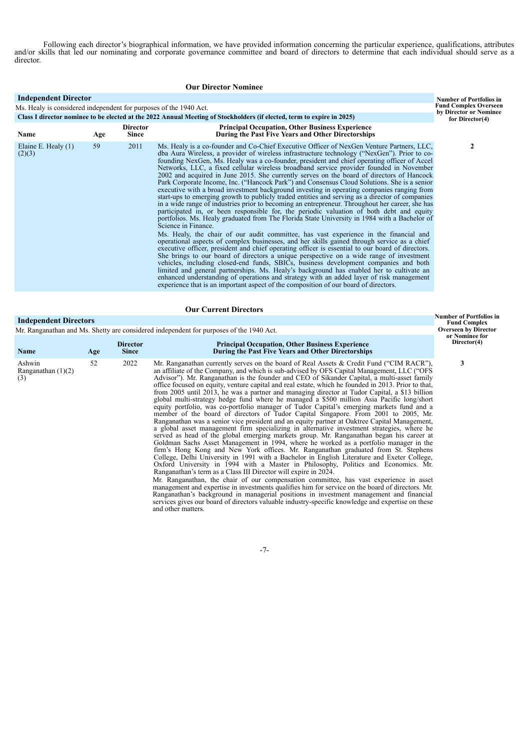Following each director's biographical information, we have provided information concerning the particular experience, qualifications, attributes and/or skills that led our nominating and corporate governance committee and board of directors to determine that each individual should serve as a director.

| <b>Our Director Nominee</b>                                                                       |     |                                 |                                                                                                                                                                                                                                                                                                                                                                                                                                                                                                                                                                                                                                                                                                                                                                                                                                                                                                                                                                                                                                                                                                                                                                                                                                                                                                                                                                                                                                                                                                                                                                                                                                                                                                                                                                                                                                                                       |                                              |  |  |  |
|---------------------------------------------------------------------------------------------------|-----|---------------------------------|-----------------------------------------------------------------------------------------------------------------------------------------------------------------------------------------------------------------------------------------------------------------------------------------------------------------------------------------------------------------------------------------------------------------------------------------------------------------------------------------------------------------------------------------------------------------------------------------------------------------------------------------------------------------------------------------------------------------------------------------------------------------------------------------------------------------------------------------------------------------------------------------------------------------------------------------------------------------------------------------------------------------------------------------------------------------------------------------------------------------------------------------------------------------------------------------------------------------------------------------------------------------------------------------------------------------------------------------------------------------------------------------------------------------------------------------------------------------------------------------------------------------------------------------------------------------------------------------------------------------------------------------------------------------------------------------------------------------------------------------------------------------------------------------------------------------------------------------------------------------------|----------------------------------------------|--|--|--|
| <b>Independent Director</b>                                                                       |     |                                 |                                                                                                                                                                                                                                                                                                                                                                                                                                                                                                                                                                                                                                                                                                                                                                                                                                                                                                                                                                                                                                                                                                                                                                                                                                                                                                                                                                                                                                                                                                                                                                                                                                                                                                                                                                                                                                                                       | <b>Number of Portfolios in</b>               |  |  |  |
| <b>Fund Complex Overseen</b><br>Ms. Healy is considered independent for purposes of the 1940 Act. |     |                                 |                                                                                                                                                                                                                                                                                                                                                                                                                                                                                                                                                                                                                                                                                                                                                                                                                                                                                                                                                                                                                                                                                                                                                                                                                                                                                                                                                                                                                                                                                                                                                                                                                                                                                                                                                                                                                                                                       |                                              |  |  |  |
|                                                                                                   |     |                                 | Class I director nominee to be elected at the 2022 Annual Meeting of Stockholders (if elected, term to expire in 2025)                                                                                                                                                                                                                                                                                                                                                                                                                                                                                                                                                                                                                                                                                                                                                                                                                                                                                                                                                                                                                                                                                                                                                                                                                                                                                                                                                                                                                                                                                                                                                                                                                                                                                                                                                | by Director or Nominee<br>for Director $(4)$ |  |  |  |
| Name                                                                                              | Age | <b>Director</b><br><b>Since</b> | <b>Principal Occupation, Other Business Experience</b><br>During the Past Five Years and Other Directorships                                                                                                                                                                                                                                                                                                                                                                                                                                                                                                                                                                                                                                                                                                                                                                                                                                                                                                                                                                                                                                                                                                                                                                                                                                                                                                                                                                                                                                                                                                                                                                                                                                                                                                                                                          |                                              |  |  |  |
| Elaine E. Healy (1)<br>(2)(3)                                                                     | 59  | 2011                            | Ms. Healy is a co-founder and Co-Chief Executive Officer of NexGen Venture Partners, LLC,<br>dba Aura Wireless, a provider of wireless infrastructure technology ("NexGen"). Prior to co-<br>founding NexGen, Ms. Healy was a co-founder, president and chief operating officer of Accel<br>Networks, LLC, a fixed cellular wireless broadband service provider founded in November<br>2002 and acquired in June 2015. She currently serves on the board of directors of Hancock<br>Park Corporate Income, Inc. ("Hancock Park") and Consensus Cloud Solutions. She is a senior<br>executive with a broad investment background investing in operating companies ranging from<br>start-ups to emerging growth to publicly traded entities and serving as a director of companies<br>in a wide range of industries prior to becoming an entrepreneur. Throughout her career, she has<br>participated in, or been responsible for, the periodic valuation of both debt and equity<br>portfolios. Ms. Healy graduated from The Florida State University in 1984 with a Bachelor of<br>Science in Finance.<br>Ms. Healy, the chair of our audit committee, has vast experience in the financial and<br>operational aspects of complex businesses, and her skills gained through service as a chief<br>executive officer, president and chief operating officer is essential to our board of directors.<br>She brings to our board of directors a unique perspective on a wide range of investment<br>vehicles, including closed-end funds, SBICs, business development companies and both<br>limited and general partnerships. Ms. Healy's background has enabled her to cultivate an<br>enhanced understanding of operations and strategy with an added layer of risk management<br>experience that is an important aspect of the composition of our board of directors. | $\mathbf{2}$                                 |  |  |  |

#### **Our Current Directors**

# **Independent Directors**

and other matters.

| <b>Number of Portfolios in</b><br><b>Independent Directors</b><br>Mr. Ranganathan and Ms. Shetty are considered independent for purposes of the 1940 Act. |     |                                 |                                                                                                                                                                                                                                                                                                                                                                                                                                                                                                                                                                                                                                                                                                                                                                                                                                                                                                                                                                                                                                                                                                                                                                                                                                                                                                                                                                                                                                                                                                                                                                                                                                                                                                                                                                                                                                                                                                                |                                                              |  |
|-----------------------------------------------------------------------------------------------------------------------------------------------------------|-----|---------------------------------|----------------------------------------------------------------------------------------------------------------------------------------------------------------------------------------------------------------------------------------------------------------------------------------------------------------------------------------------------------------------------------------------------------------------------------------------------------------------------------------------------------------------------------------------------------------------------------------------------------------------------------------------------------------------------------------------------------------------------------------------------------------------------------------------------------------------------------------------------------------------------------------------------------------------------------------------------------------------------------------------------------------------------------------------------------------------------------------------------------------------------------------------------------------------------------------------------------------------------------------------------------------------------------------------------------------------------------------------------------------------------------------------------------------------------------------------------------------------------------------------------------------------------------------------------------------------------------------------------------------------------------------------------------------------------------------------------------------------------------------------------------------------------------------------------------------------------------------------------------------------------------------------------------------|--------------------------------------------------------------|--|
| Name                                                                                                                                                      | Age | <b>Director</b><br><b>Since</b> | <b>Principal Occupation, Other Business Experience</b><br>During the Past Five Years and Other Directorships                                                                                                                                                                                                                                                                                                                                                                                                                                                                                                                                                                                                                                                                                                                                                                                                                                                                                                                                                                                                                                                                                                                                                                                                                                                                                                                                                                                                                                                                                                                                                                                                                                                                                                                                                                                                   | <b>Overseen by Director</b><br>or Nominee for<br>Director(4) |  |
| Ashwin<br>Ranganathan $(1)(2)$<br>(3)                                                                                                                     | 52  | 2022                            | Mr. Ranganathan currently serves on the board of Real Assets & Credit Fund ("CIM RACR"),<br>an affiliate of the Company, and which is sub-advised by OFS Capital Management, LLC ("OFS"<br>Advisor"). Mr. Ranganathan is the founder and CEO of Sikander Capital, a multi-asset family<br>office focused on equity, venture capital and real estate, which he founded in 2013. Prior to that,<br>from 2005 until 2013, he was a partner and managing director at Tudor Capital, a \$13 billion<br>global multi-strategy hedge fund where he managed a \$500 million Asia Pacific long/short<br>equity portfolio, was co-portfolio manager of Tudor Capital's emerging markets fund and a<br>member of the board of directors of Tudor Capital Singapore. From 2001 to 2005, Mr.<br>Ranganathan was a senior vice president and an equity partner at Oaktree Capital Management,<br>a global asset management firm specializing in alternative investment strategies, where he<br>served as head of the global emerging markets group. Mr. Ranganathan began his career at<br>Goldman Sachs Asset Management in 1994, where he worked as a portfolio manager in the<br>firm's Hong Kong and New York offices. Mr. Ranganathan graduated from St. Stephens<br>College, Delhi University in 1991 with a Bachelor in English Literature and Exeter College,<br>Oxford University in 1994 with a Master in Philosophy, Politics and Economics. Mr.<br>Ranganathan's term as a Class III Director will expire in 2024.<br>Mr. Ranganathan, the chair of our compensation committee, has vast experience in asset<br>management and expertise in investments qualifies him for service on the board of directors. Mr.<br>Ranganathan's background in managerial positions in investment management and financial<br>services gives our board of directors valuable industry-specific knowledge and expertise on these | 3                                                            |  |

-7-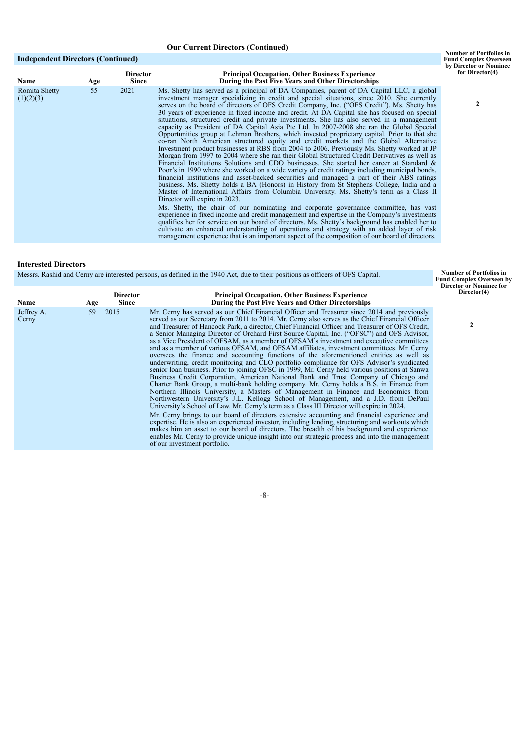# **Our Current Directors (Continued)**

# **Independent Directors (Continued)**

| <b>Name</b>                | Age | <b>Director</b><br><b>Since</b> | <b>Principal Occupation, Other Business Experience</b><br>During the Past Five Years and Other Directorships                                                                                                                                                                                                                                                                                                                                                                                                                                                                                                                                                                                                                                                                                                                                                                                                                                                                                                                                                                                                                                                                                                                                                                                                                                                                                                                                                                                                                                                                                                                                                                                                                                                                                                                                                                                                                                                                                   |
|----------------------------|-----|---------------------------------|------------------------------------------------------------------------------------------------------------------------------------------------------------------------------------------------------------------------------------------------------------------------------------------------------------------------------------------------------------------------------------------------------------------------------------------------------------------------------------------------------------------------------------------------------------------------------------------------------------------------------------------------------------------------------------------------------------------------------------------------------------------------------------------------------------------------------------------------------------------------------------------------------------------------------------------------------------------------------------------------------------------------------------------------------------------------------------------------------------------------------------------------------------------------------------------------------------------------------------------------------------------------------------------------------------------------------------------------------------------------------------------------------------------------------------------------------------------------------------------------------------------------------------------------------------------------------------------------------------------------------------------------------------------------------------------------------------------------------------------------------------------------------------------------------------------------------------------------------------------------------------------------------------------------------------------------------------------------------------------------|
| Romita Shetty<br>(1)(2)(3) | 55  | 2021                            | Ms. Shetty has served as a principal of DA Companies, parent of DA Capital LLC, a global<br>investment manager specializing in credit and special situations, since 2010. She currently<br>serves on the board of directors of OFS Credit Company, Inc. ("OFS Credit"). Ms. Shetty has<br>30 years of experience in fixed income and credit. At DA Capital she has focused on special<br>situations, structured credit and private investments. She has also served in a management<br>capacity as President of DA Capital Asia Pte Ltd. In 2007-2008 she ran the Global Special<br>Opportunities group at Lehman Brothers, which invested proprietary capital. Prior to that she<br>co-ran North American structured equity and credit markets and the Global Alternative<br>Investment product businesses at RBS from 2004 to 2006. Previously Ms. Shetty worked at JP<br>Morgan from 1997 to 2004 where she ran their Global Structured Credit Derivatives as well as<br>Financial Institutions Solutions and CDO businesses. She started her career at Standard $\&$<br>Poor's in 1990 where she worked on a wide variety of credit ratings including municipal bonds,<br>financial institutions and asset-backed securities and managed a part of their ABS ratings<br>business. Ms. Shetty holds a BA (Honors) in History from St Stephens College, India and a<br>Master of International Affairs from Columbia University. Ms. Shetty's term as a Class II<br>Director will expire in 2023.<br>Ms. Shetty, the chair of our nominating and corporate governance committee, has vast<br>experience in fixed income and credit management and expertise in the Company's investments<br>qualifies her for service on our board of directors. Ms. Shetty's background has enabled her to<br>cultivate an enhanced understanding of operations and strategy with an added layer of risk<br>management experience that is an important aspect of the composition of our board of directors. |

# **Interested Directors**

Messrs. Rashid and Cerny are interested persons, as defined in the 1940 Act, due to their positions as officers of OFS Capital.

| Messrs. Rashid and Cerny are interested persons, as defined in the 1940 Act, due to their positions as officers of OFS Capital. | <b>Number of Portfolios in</b><br><b>Fund Complex Overseen by</b><br><b>Director or Nominee for</b> |                                 |                                                                                                                                                                                                                                                                                                                                                                                                                                                                                                                                                                                                                                                                                                                                                                                                                                                                                                                                                                                                                                                                                                                                                                                                                                                                                                                                                                                                                                                                                                                                                                                                                                                                                                                                                      |             |
|---------------------------------------------------------------------------------------------------------------------------------|-----------------------------------------------------------------------------------------------------|---------------------------------|------------------------------------------------------------------------------------------------------------------------------------------------------------------------------------------------------------------------------------------------------------------------------------------------------------------------------------------------------------------------------------------------------------------------------------------------------------------------------------------------------------------------------------------------------------------------------------------------------------------------------------------------------------------------------------------------------------------------------------------------------------------------------------------------------------------------------------------------------------------------------------------------------------------------------------------------------------------------------------------------------------------------------------------------------------------------------------------------------------------------------------------------------------------------------------------------------------------------------------------------------------------------------------------------------------------------------------------------------------------------------------------------------------------------------------------------------------------------------------------------------------------------------------------------------------------------------------------------------------------------------------------------------------------------------------------------------------------------------------------------------|-------------|
| Name                                                                                                                            | Age                                                                                                 | <b>Director</b><br><b>Since</b> | <b>Principal Occupation, Other Business Experience</b><br>During the Past Five Years and Other Directorships                                                                                                                                                                                                                                                                                                                                                                                                                                                                                                                                                                                                                                                                                                                                                                                                                                                                                                                                                                                                                                                                                                                                                                                                                                                                                                                                                                                                                                                                                                                                                                                                                                         | Director(4) |
| Jeffrey A.<br>Cerny                                                                                                             | 59                                                                                                  | 2015                            | Mr. Cerny has served as our Chief Financial Officer and Treasurer since 2014 and previously<br>served as our Secretary from 2011 to 2014. Mr. Cerny also serves as the Chief Financial Officer<br>and Treasurer of Hancock Park, a director, Chief Financial Officer and Treasurer of OFS Credit,<br>a Senior Managing Director of Orchard First Source Capital, Inc. ("OFSC") and OFS Advisor,<br>as a Vice President of OFSAM, as a member of OFSAM's investment and executive committees<br>and as a member of various OFSAM, and OFSAM affiliates, investment committees. Mr. Cerny<br>oversees the finance and accounting functions of the aforementioned entities as well as<br>underwriting, credit monitoring and CLO portfolio compliance for OFS Advisor's syndicated<br>senior loan business. Prior to joining OFSC in 1999, Mr. Cerny held various positions at Sanwa<br>Business Credit Corporation, American National Bank and Trust Company of Chicago and<br>Charter Bank Group, a multi-bank holding company. Mr. Cerny holds a B.S. in Finance from<br>Northern Illinois University, a Masters of Management in Finance and Economics from<br>Northwestern University's J.L. Kellogg School of Management, and a J.D. from DePaul<br>University's School of Law. Mr. Cerny's term as a Class III Director will expire in 2024.<br>Mr. Cerny brings to our board of directors extensive accounting and financial experience and<br>expertise. He is also an experienced investor, including lending, structuring and workouts which<br>makes him an asset to our board of directors. The breadth of his background and experience<br>enables Mr. Cerny to provide unique insight into our strategic process and into the management |             |
|                                                                                                                                 |                                                                                                     |                                 | of our investment portfolio.                                                                                                                                                                                                                                                                                                                                                                                                                                                                                                                                                                                                                                                                                                                                                                                                                                                                                                                                                                                                                                                                                                                                                                                                                                                                                                                                                                                                                                                                                                                                                                                                                                                                                                                         |             |

-8-

**2**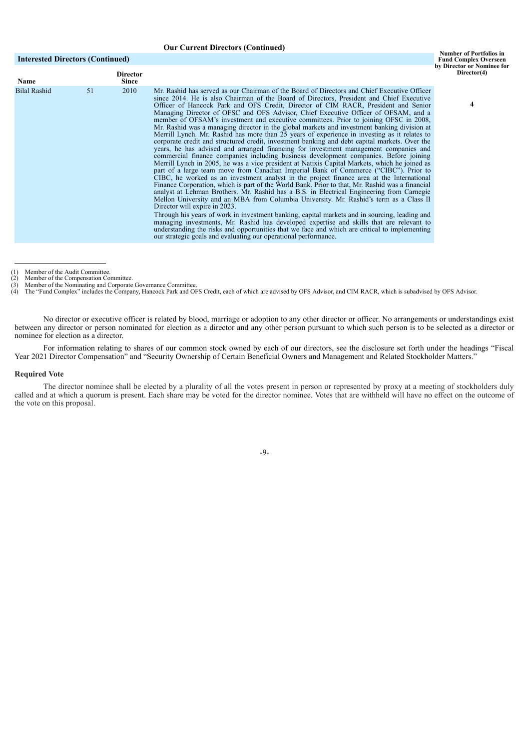### **Our Current Directors (Continued)**

### **Interested Directors (Continued)**

**4**

| <b>Name</b>         |    | Director<br><b>Since</b> |                                                                                                                                                                                                                                                                                                                                                                                                                                                                                                                                                                                                                                                                                                                                                                                                                                                                                                                                                                                                                                                                                                                                                                                                                                                                                                                                                                                                                                                                                                                                                                                                                                                                                                                                                                                                                                                                                                                                 |
|---------------------|----|--------------------------|---------------------------------------------------------------------------------------------------------------------------------------------------------------------------------------------------------------------------------------------------------------------------------------------------------------------------------------------------------------------------------------------------------------------------------------------------------------------------------------------------------------------------------------------------------------------------------------------------------------------------------------------------------------------------------------------------------------------------------------------------------------------------------------------------------------------------------------------------------------------------------------------------------------------------------------------------------------------------------------------------------------------------------------------------------------------------------------------------------------------------------------------------------------------------------------------------------------------------------------------------------------------------------------------------------------------------------------------------------------------------------------------------------------------------------------------------------------------------------------------------------------------------------------------------------------------------------------------------------------------------------------------------------------------------------------------------------------------------------------------------------------------------------------------------------------------------------------------------------------------------------------------------------------------------------|
| <b>Bilal Rashid</b> | 51 | 2010                     | Mr. Rashid has served as our Chairman of the Board of Directors and Chief Executive Officer<br>since 2014. He is also Chairman of the Board of Directors, President and Chief Executive<br>Officer of Hancock Park and OFS Credit, Director of CIM RACR, President and Senior<br>Managing Director of OFSC and OFS Advisor, Chief Executive Officer of OFSAM, and a<br>member of OFSAM's investment and executive committees. Prior to joining OFSC in 2008,<br>Mr. Rashid was a managing director in the global markets and investment banking division at<br>Merrill Lynch. Mr. Rashid has more than 25 years of experience in investing as it relates to<br>corporate credit and structured credit, investment banking and debt capital markets. Over the<br>years, he has advised and arranged financing for investment management companies and<br>commercial finance companies including business development companies. Before joining<br>Merrill Lynch in 2005, he was a vice president at Natixis Capital Markets, which he joined as<br>part of a large team move from Canadian Imperial Bank of Commerce ("CIBC"). Prior to<br>CIBC, he worked as an investment analyst in the project finance area at the International<br>Finance Corporation, which is part of the World Bank. Prior to that, Mr. Rashid was a financial<br>analyst at Lehman Brothers. Mr. Rashid has a B.S. in Electrical Engineering from Carnegie<br>Mellon University and an MBA from Columbia University. Mr. Rashid's term as a Class II<br>Director will expire in 2023.<br>Through his years of work in investment banking, capital markets and in sourcing, leading and<br>managing investments, Mr. Rashid has developed expertise and skills that are relevant to<br>understanding the risks and opportunities that we face and which are critical to implementing<br>our strategic goals and evaluating our operational performance. |
|                     |    |                          |                                                                                                                                                                                                                                                                                                                                                                                                                                                                                                                                                                                                                                                                                                                                                                                                                                                                                                                                                                                                                                                                                                                                                                                                                                                                                                                                                                                                                                                                                                                                                                                                                                                                                                                                                                                                                                                                                                                                 |

No director or executive officer is related by blood, marriage or adoption to any other director or officer. No arrangements or understandings exist between any director or person nominated for election as a director and any other person pursuant to which such person is to be selected as a director or nominee for election as a director.

For information relating to shares of our common stock owned by each of our directors, see the disclosure set forth under the headings "Fiscal Year 2021 Director Compensation" and "Security Ownership of Certain Beneficial Owners and Management and Related Stockholder Matters."

#### **Required Vote**

The director nominee shall be elected by a plurality of all the votes present in person or represented by proxy at a meeting of stockholders duly called and at which a quorum is present. Each share may be voted for the director nominee. Votes that are withheld will have no effect on the outcome of the vote on this proposal.

-9-

<sup>(1)</sup> Member of the Audit Committee.<br>(2) Member of the Compensation Committee.<br>(3) Member of the Nominating and Corporate Governance Committee.<br>(4) The "Fund Complex" includes the Company, Hancock Park and OFS Credit, each o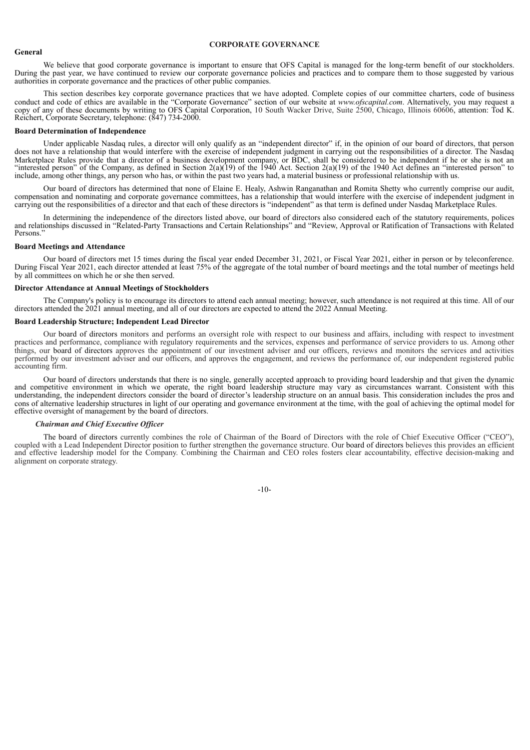## **CORPORATE GOVERNANCE**

### **General**

We believe that good corporate governance is important to ensure that OFS Capital is managed for the long-term benefit of our stockholders. During the past year, we have continued to review our corporate governance policies and practices and to compare them to those suggested by various authorities in corporate governance and the practices of other public companies.

This section describes key corporate governance practices that we have adopted. Complete copies of our committee charters, code of business conduct and code of ethics are available in the "Corporate Governance" section of our website at *www.ofscapital.com*. Alternatively, you may request a copy of any of these documents by writing to OFS Capital Corporation, 10 South Wacker Drive, Suite 2500, Chicago, Illinois 60606, attention: Tod K. Reichert, Corporate Secretary, telephone: (847) 734-2000.

### **Board Determination of Independence**

Under applicable Nasdaq rules, a director will only qualify as an "independent director" if, in the opinion of our board of directors, that person does not have a relationship that would interfere with the exercise of independent judgment in carrying out the responsibilities of a director. The Nasdaq Marketplace Rules provide that a director of a business development company, or BDC, shall be considered to be independent if he or she is not an "interested person" of the Company, as defined in Section 2(a)(19) of the 1940 Act. Section 2(a)(19) of the 1940 Act defines an "interested person" to include, among other things, any person who has, or within the past two years had, a material business or professional relationship with us.

Our board of directors has determined that none of Elaine E. Healy, Ashwin Ranganathan and Romita Shetty who currently comprise our audit, compensation and nominating and corporate governance committees, has a relationship that would interfere with the exercise of independent judgment in carrying out the responsibilities of a director and that each of these directors is "independent" as that term is defined under Nasdaq Marketplace Rules.

In determining the independence of the directors listed above, our board of directors also considered each of the statutory requirements, polices and relationships discussed in "Related-Party Transactions and Certain Relationships" and "Review, Approval or Ratification of Transactions with Related Persons<sup>.</sup>

#### **Board Meetings and Attendance**

Our board of directors met 15 times during the fiscal year ended December 31, 2021, or Fiscal Year 2021, either in person or by teleconference. During Fiscal Year 2021, each director attended at least 75% of the aggregate of the total number of board meetings and the total number of meetings held by all committees on which he or she then served.

### **Director Attendance at Annual Meetings of Stockholders**

The Company's policy is to encourage its directors to attend each annual meeting; however, such attendance is not required at this time. All of our directors attended the 2021 annual meeting, and all of our directors are expected to attend the 2022 Annual Meeting.

#### **Board Leadership Structure; Independent Lead Director**

Our board of directors monitors and performs an oversight role with respect to our business and affairs, including with respect to investment practices and performance, compliance with regulatory requirements and the services, expenses and performance of service providers to us. Among other things, our board of directors approves the appointment of our investment adviser and our officers, reviews and monitors the services and activities performed by our investment adviser and our officers, and approves the engagement, and reviews the performance of, our independent registered public accounting firm.

Our board of directors understands that there is no single, generally accepted approach to providing board leadership and that given the dynamic and competitive environment in which we operate, the right board leadership structure may vary as circumstances warrant. Consistent with this understanding, the independent directors consider the board of director's leadership structure on an annual basis. This consideration includes the pros and cons of alternative leadership structures in light of our operating and governance environment at the time, with the goal of achieving the optimal model for effective oversight of management by the board of directors.

#### *Chairman and Chief Executive Of icer*

The board of directors currently combines the role of Chairman of the Board of Directors with the role of Chief Executive Officer ("CEO"), coupled with a Lead Independent Director position to further strengthen the governance structure. Our board of directors believes this provides an efficient and effective leadership model for the Company. Combining the Chairman and CEO roles fosters clear accountability, effective decision-making and alignment on corporate strategy.

-10-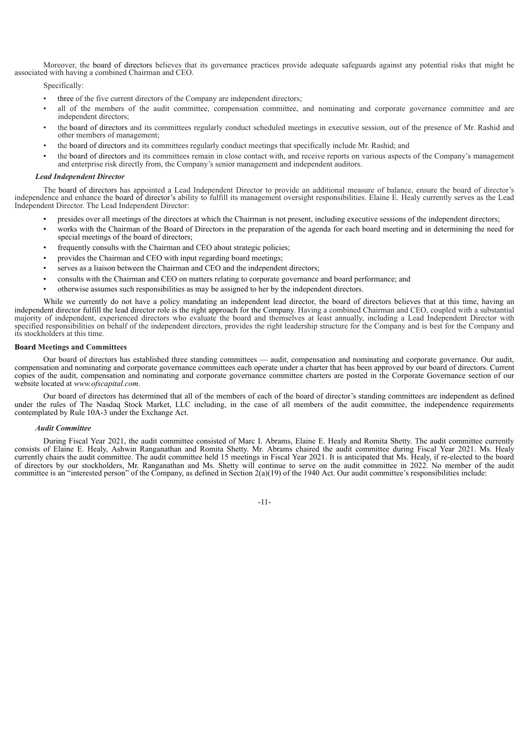Moreover, the board of directors believes that its governance practices provide adequate safeguards against any potential risks that might be associated with having a combined Chairman and CEO.

Specifically:

- three of the five current directors of the Company are independent directors;
- all of the members of the audit committee, compensation committee, and nominating and corporate governance committee and are independent directors;
- the board of directors and its committees regularly conduct scheduled meetings in executive session, out of the presence of Mr. Rashid and other members of management;
- the board of directors and its committees regularly conduct meetings that specifically include Mr. Rashid; and
- the board of directors and its committees remain in close contact with, and receive reports on various aspects of the Company's management and enterprise risk directly from, the Company's senior management and independent auditors.

### *Lead Independent Director*

The board of directors has appointed a Lead Independent Director to provide an additional measure of balance, ensure the board of director's independence and enhance the board of director's ability to fulfill its management oversight responsibilities. Elaine E. Healy currently serves as the Lead Independent Director. The Lead Independent Director:

- presides over all meetings of the directors at which the Chairman is not present, including executive sessions of the independent directors;
- works with the Chairman of the Board of Directors in the preparation of the agenda for each board meeting and in determining the need for special meetings of the board of directors;
- frequently consults with the Chairman and CEO about strategic policies;
- provides the Chairman and CEO with input regarding board meetings;
- serves as a liaison between the Chairman and CEO and the independent directors:
- consults with the Chairman and CEO on matters relating to corporate governance and board performance; and
- otherwise assumes such responsibilities as may be assigned to her by the independent directors.

While we currently do not have a policy mandating an independent lead director, the board of directors believes that at this time, having an independent director fulfill the lead director role is the right approach for the Company. Having a combined Chairman and CEO, coupled with a substantial majority of independent, experienced directors who evaluate the board and themselves at least annually, including a Lead Independent Director with specified responsibilities on behalf of the independent directors, provides the right leadership structure for the Company and is best for the Company and its stockholders at this time.

#### **Board Meetings and Committees**

Our board of directors has established three standing committees — audit, compensation and nominating and corporate governance. Our audit, compensation and nominating and corporate governance committees each operate under a charter that has been approved by our board of directors. Current copies of the audit, compensation and nominating and corporate governance committee charters are posted in the Corporate Governance section of our website located at *www.ofscapital.com*.

Our board of directors has determined that all of the members of each of the board of director's standing committees are independent as defined under the rules of The Nasdaq Stock Market, LLC including, in the case of all members of the audit committee, the independence requirements contemplated by Rule 10A-3 under the Exchange Act.

### *Audit Committee*

During Fiscal Year 2021, the audit committee consisted of Marc I. Abrams, Elaine E. Healy and Romita Shetty. The audit committee currently consists of Elaine E. Healy, Ashwin Ranganathan and Romita Shetty. Mr. Abrams chaired the audit committee during Fiscal Year 2021. Ms. Healy currently chairs the audit committee. The audit committee held 15 meetings in Fiscal Year 2021. It is anticipated that Ms. Healy, if re-elected to the board of directors by our stockholders, Mr. Ranganathan and Ms. Shetty will continue to serve on the audit committee in 2022. No member of the audit committee is an "interested person" of the Company, as defined in Section 2(a)(19) of the 1940 Act. Our audit committee's responsibilities include:

-11-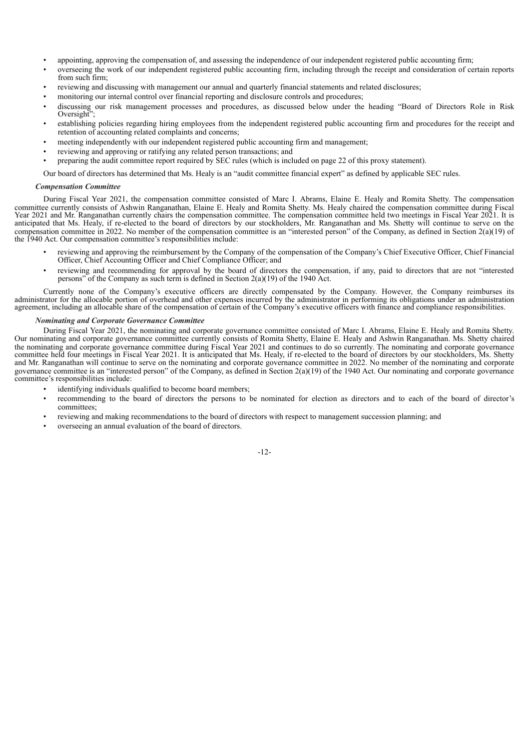- appointing, approving the compensation of, and assessing the independence of our independent registered public accounting firm;
- overseeing the work of our independent registered public accounting firm, including through the receipt and consideration of certain reports from such firm;
- reviewing and discussing with management our annual and quarterly financial statements and related disclosures;
- monitoring our internal control over financial reporting and disclosure controls and procedures;
- discussing our risk management processes and procedures, as discussed below under the heading "Board of Directors Role in Risk Oversight<sup>?</sup>
- establishing policies regarding hiring employees from the independent registered public accounting firm and procedures for the receipt and retention of accounting related complaints and concerns;
- meeting independently with our independent registered public accounting firm and management;
- reviewing and approving or ratifying any related person transactions; and
- preparing the audit committee report required by SEC rules (which is included on page 22 of this proxy statement).

Our board of directors has determined that Ms. Healy is an "audit committee financial expert" as defined by applicable SEC rules.

# *Compensation Committee*

During Fiscal Year 2021, the compensation committee consisted of Marc I. Abrams, Elaine E. Healy and Romita Shetty. The compensation committee currently consists of Ashwin Ranganathan, Elaine E. Healy and Romita Shetty. Ms. Healy chaired the compensation committee during Fiscal Year 2021 and Mr. Ranganathan currently chairs the compensation committee. The compensation committee held two meetings in Fiscal Year 2021. It is anticipated that Ms. Healy, if re-elected to the board of directors by our stockholders, Mr. Ranganathan and Ms. Shetty will continue to serve on the compensation committee in 2022. No member of the compensation committee is an "interested person" of the Company, as defined in Section 2(a)(19) of the 1940 Act. Our compensation committee's responsibilities include:

- reviewing and approving the reimbursement by the Company of the compensation of the Company's Chief Executive Officer, Chief Financial Officer, Chief Accounting Officer and Chief Compliance Officer; and
- reviewing and recommending for approval by the board of directors the compensation, if any, paid to directors that are not "interested persons" of the Company as such term is defined in Section  $2(a)(19)$  of the 1940 Act.

Currently none of the Company's executive officers are directly compensated by the Company. However, the Company reimburses its administrator for the allocable portion of overhead and other expenses incurred by the administrator in performing its obligations under an administration agreement, including an allocable share of the compensation of certain of the Company's executive officers with finance and compliance responsibilities.

# *Nominating and Corporate Governance Committee*

During Fiscal Year 2021, the nominating and corporate governance committee consisted of Marc I. Abrams, Elaine E. Healy and Romita Shetty. Our nominating and corporate governance committee currently consists of Romita Shetty, Elaine E. Healy and Ashwin Ranganathan. Ms. Shetty chaired the nominating and corporate governance committee during Fiscal Year 2021 and continues to do so currently. The nominating and corporate governance committee held four meetings in Fiscal Year 2021. It is anticipated that Ms. Healy, if re-elected to the board of directors by our stockholders, Ms. Shetty and Mr. Ranganathan will continue to serve on the nominating and corporate governance committee in 2022. No member of the nominating and corporate governance committee is an "interested person" of the Company, as defined in Section 2(a)(19) of the 1940 Act. Our nominating and corporate governance committee's responsibilities include:

- identifying individuals qualified to become board members;
- recommending to the board of directors the persons to be nominated for election as directors and to each of the board of director's committees;
- reviewing and making recommendations to the board of directors with respect to management succession planning; and
- overseeing an annual evaluation of the board of directors.

# -12-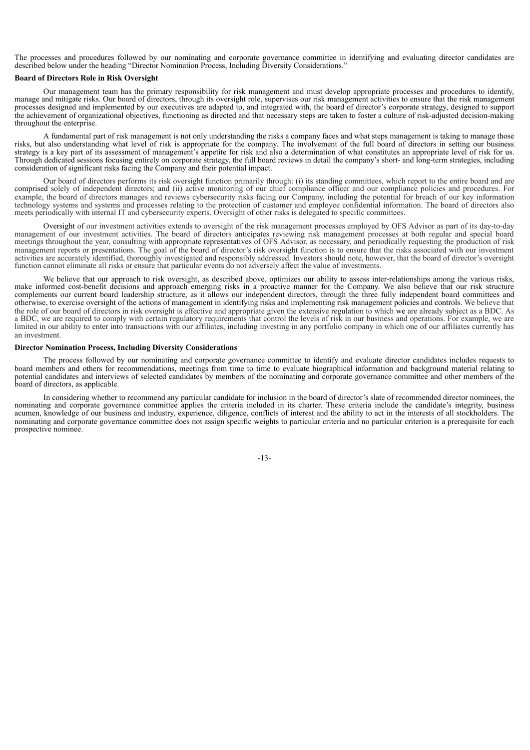The processes and procedures followed by our nominating and corporate governance committee in identifying and evaluating director candidates are described below under the heading "Director Nomination Process, Including Diversity Considerations."

# **Board of Directors Role in Risk Oversight**

Our management team has the primary responsibility for risk management and must develop appropriate processes and procedures to identify, manage and mitigate risks. Our board of directors, through its oversight role, supervises our risk management activities to ensure that the risk management processes designed and implemented by our executives are adapted to, and integrated with, the board of director's corporate strategy, designed to support the achievement of organizational objectives, functioning as directed and that necessary steps are taken to foster a culture of risk-adjusted decision-making throughout the enterprise.

A fundamental part of risk management is not only understanding the risks a company faces and what steps management is taking to manage those risks, but also understanding what level of risk is appropriate for the company. The involvement of the full board of directors in setting our business strategy is a key part of its assessment of management's appetite for risk and also a determination of what constitutes an appropriate level of risk for us. Through dedicated sessions focusing entirely on corporate strategy, the full board reviews in detail the company's short- and long-term strategies, including consideration of significant risks facing the Company and their potential impact.

Our board of directors performs its risk oversight function primarily through: (i) its standing committees, which report to the entire board and are comprised solely of independent directors; and (ii) active monitoring of our chief compliance officer and our compliance policies and procedures. For example, the board of directors manages and reviews cybersecurity risks facing our Company, including the potential for breach of our key information technology systems and systems and processes relating to the protection of customer and employee confidential information. The board of directors also meets periodically with internal IT and cybersecurity experts. Oversight of other risks is delegated to specific committees.

Oversight of our investment activities extends to oversight of the risk management processes employed by OFS Advisor as part of its day-to-day management of our investment activities. The board of directors anticipates reviewing risk management processes at both regular and special board meetings throughout the year, consulting with appropriate representatives of OFS Advisor, as necessary, and periodically requesting the production of risk management reports or presentations. The goal of the board of director's risk oversight function is to ensure that the risks associated with our investment activities are accurately identified, thoroughly investigated and responsibly addressed. Investors should note, however, that the board of director's oversight function cannot eliminate all risks or ensure that particular events do not adversely affect the value of investments.

We believe that our approach to risk oversight, as described above, optimizes our ability to assess inter-relationships among the various risks, make informed cost-benefit decisions and approach emerging risks in a proactive manner for the Company. We also believe that our risk structure complements our current board leadership structure, as it allows our independent directors, through the three fully independent board committees and otherwise, to exercise oversight of the actions of management in identifying risks and implementing risk management policies and controls. We believe that the role of our board of directors in risk oversight is effective and appropriate given the extensive regulation to which we are already subject as a BDC. As a BDC, we are required to comply with certain regulatory requirements that control the levels of risk in our business and operations. For example, we are limited in our ability to enter into transactions with our affiliates, including investing in any portfolio company in which one of our affiliates currently has an investment.

### **Director Nomination Process, Including Diversity Considerations**

The process followed by our nominating and corporate governance committee to identify and evaluate director candidates includes requests to board members and others for recommendations, meetings from time to time to evaluate biographical information and background material relating to potential candidates and interviews of selected candidates by members of the nominating and corporate governance committee and other members of the board of directors, as applicable.

In considering whether to recommend any particular candidate for inclusion in the board of director's slate of recommended director nominees, the nominating and corporate governance committee applies the criteria included in its charter. These criteria include the candidate's integrity, business acumen, knowledge of our business and industry, experience, diligence, conflicts of interest and the ability to act in the interests of all stockholders. The nominating and corporate governance committee does not assign specific weights to particular criteria and no particular criterion is a prerequisite for each prospective nominee.

-13-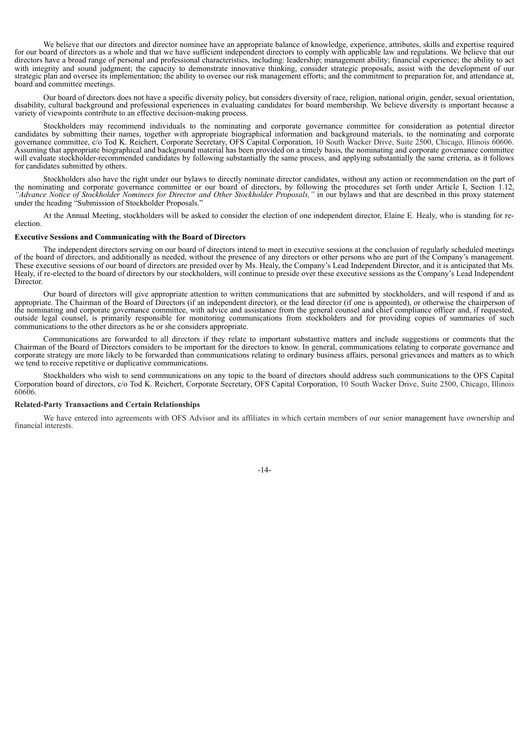We believe that our directors and director nominee have an appropriate balance of knowledge, experience, attributes, skills and expertise required for our board of directors as a whole and that we have sufficient independent directors to comply with applicable law and regulations. We believe that our directors have a broad range of personal and professional characteristics, including: leadership; management ability; financial experience; the ability to act with integrity and sound judgment; the capacity to demonstrate innovative thinking, consider strategic proposals, assist with the development of our strategic plan and oversee its implementation; the ability to oversee our risk management efforts; and the commitment to preparation for, and attendance at, board and committee meetings.

Our board of directors does not have a specific diversity policy, but considers diversity of race, religion, national origin, gender, sexual orientation, disability, cultural background and professional experiences in evaluating candidates for board membership. We believe diversity is important because a variety of viewpoints contribute to an effective decision-making process.

Stockholders may recommend individuals to the nominating and corporate governance committee for consideration as potential director candidates by submitting their names, together with appropriate biographical information and background materials, to the nominating and corporate governance committee, c/o Tod K. Reichert, Corporate Secretary, OFS Capital Corporation, 10 South Wacker Drive, Suite 2500, Chicago, Illinois 60606. Assuming that appropriate biographical and background material has been provided on a timely basis, the nominating and corporate governance committee will evaluate stockholder-recommended candidates by following substantially the same process, and applying substantially the same criteria, as it follows for candidates submitted by others.

Stockholders also have the right under our bylaws to directly nominate director candidates, without any action or recommendation on the part of the nominating and corporate governance committee or our board of directors, by following the procedures set forth under Article I, Section 1.12, *"Advance Notice of Stockholder Nominees for Director and Other Stockholder Proposals,"* in our bylaws and that are described in this proxy statement under the heading "Submission of Stockholder Proposals."

At the Annual Meeting, stockholders will be asked to consider the election of one independent director, Elaine E. Healy, who is standing for reelection.

## **Executive Sessions and Communicating with the Board of Directors**

The independent directors serving on our board of directors intend to meet in executive sessions at the conclusion of regularly scheduled meetings of the board of directors, and additionally as needed, without the presence of any directors or other persons who are part of the Company's management. These executive sessions of our board of directors are presided over by Ms. Healy, the Company's Lead Independent Director, and it is anticipated that Ms. Healy, if re-elected to the board of directors by our stockholders, will continue to preside over these executive sessions as the Company's Lead Independent **Director** 

Our board of directors will give appropriate attention to written communications that are submitted by stockholders, and will respond if and as appropriate. The Chairman of the Board of Directors (if an independent director), or the lead director (if one is appointed), or otherwise the chairperson of the nominating and corporate governance committee, with advice and assistance from the general counsel and chief compliance officer and, if requested, outside legal counsel, is primarily responsible for monitoring communications from stockholders and for providing copies of summaries of such communications to the other directors as he or she considers appropriate.

Communications are forwarded to all directors if they relate to important substantive matters and include suggestions or comments that the Chairman of the Board of Directors considers to be important for the directors to know. In general, communications relating to corporate governance and corporate strategy are more likely to be forwarded than communications relating to ordinary business affairs, personal grievances and matters as to which we tend to receive repetitive or duplicative communications.

Stockholders who wish to send communications on any topic to the board of directors should address such communications to the OFS Capital Corporation board of directors, c/o Tod K. Reichert, Corporate Secretary, OFS Capital Corporation, 10 South Wacker Drive, Suite 2500, Chicago, Illinois 60606.

### **Related-Party Transactions and Certain Relationships**

We have entered into agreements with OFS Advisor and its affiliates in which certain members of our senior management have ownership and financial interests.

-14-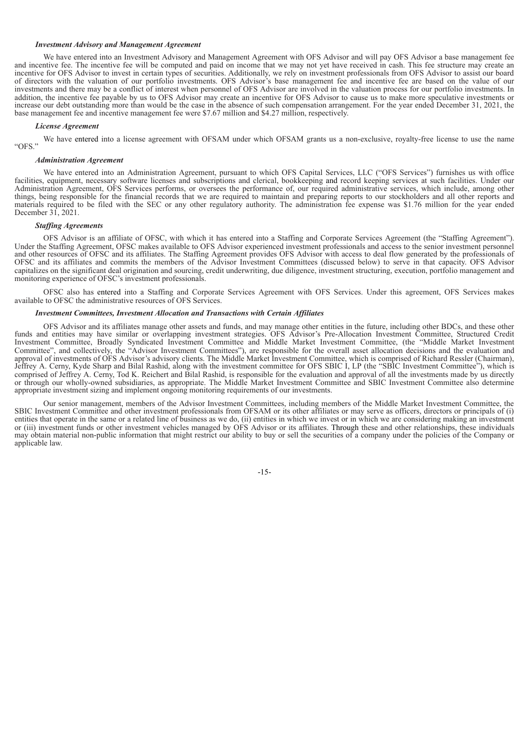### *Investment Advisory and Management Agreement*

We have entered into an Investment Advisory and Management Agreement with OFS Advisor and will pay OFS Advisor a base management fee and incentive fee. The incentive fee will be computed and paid on income that we may not yet have received in cash. This fee structure may create an incentive for OFS Advisor to invest in certain types of securities. Additionally, we rely on investment professionals from OFS Advisor to assist our board of directors with the valuation of our portfolio investments. OFS Advisor's base management fee and incentive fee are based on the value of our investments and there may be a conflict of interest when personnel of OFS Advisor are involved in the valuation process for our portfolio investments. In addition, the incentive fee payable by us to OFS Advisor may create an incentive for OFS Advisor to cause us to make more speculative investments or increase our debt outstanding more than would be the case in the absence of such compensation arrangement. For the year ended December 31, 2021, the base management fee and incentive management fee were \$7.67 million and \$4.27 million, respectively.

#### *License Agreement*

We have entered into a license agreement with OFSAM under which OFSAM grants us a non-exclusive, royalty-free license to use the name "OFS."

#### *Administration Agreement*

We have entered into an Administration Agreement, pursuant to which OFS Capital Services, LLC ("OFS Services") furnishes us with office facilities, equipment, necessary software licenses and subscriptions and clerical, bookkeeping and record keeping services at such facilities. Under our Administration Agreement, OFS Services performs, or oversees the performance of, our required administrative services, which include, among other things, being responsible for the financial records that we are required to maintain and preparing reports to our stockholders and all other reports and materials required to be filed with the SEC or any other regulatory authority. The administration fee expense was \$1.76 million for the year ended December 31, 2021.

#### *Staf ing Agreements*

OFS Advisor is an affiliate of OFSC, with which it has entered into a Staffing and Corporate Services Agreement (the "Staffing Agreement"). Under the Staffing Agreement, OFSC makes available to OFS Advisor experienced investment professionals and access to the senior investment personnel and other resources of OFSC and its affiliates. The Staffing Agreement provides OFS Advisor with access to deal flow generated by the professionals of OFSC and its affiliates and commits the members of the Advisor Investment Committees (discussed below) to serve in that capacity. OFS Advisor capitalizes on the significant deal origination and sourcing, credit underwriting, due diligence, investment structuring, execution, portfolio management and monitoring experience of OFSC's investment professionals.

OFSC also has entered into a Staffing and Corporate Services Agreement with OFS Services. Under this agreement, OFS Services makes available to OFSC the administrative resources of OFS Services.

#### *Investment Committees, Investment Allocation and Transactions with Certain Af iliates*

OFS Advisor and its affiliates manage other assets and funds, and may manage other entities in the future, including other BDCs, and these other funds and entities may have similar or overlapping investment strategies. OFS Advisor's Pre-Allocation Investment Committee, Structured Credit Investment Committee, Broadly Syndicated Investment Committee and Middle Market Investment Committee, (the "Middle Market Investment Committee", and collectively, the "Advisor Investment Committees"), are responsible for the overall asset allocation decisions and the evaluation and approval of investments of OFS Advisor's advisory clients. The Middle Market Investment Committee, which is comprised of Richard Ressler (Chairman), Jeffrey A. Cerny, Kyde Sharp and Bilal Rashid, along with the investment committee for OFS SBIC I, LP (the "SBIC Investment Committee"), which is comprised of Jeffrey A. Cerny, Tod K. Reichert and Bilal Rashid, is responsible for the evaluation and approval of all the investments made by us directly or through our wholly-owned subsidiaries, as appropriate. The Middle Market Investment Committee and SBIC Investment Committee also determine appropriate investment sizing and implement ongoing monitoring requirements of our investments.

Our senior management, members of the Advisor Investment Committees, including members of the Middle Market Investment Committee, the SBIC Investment Committee and other investment professionals from OFSAM or its other affiliates or may serve as officers, directors or principals of (i) entities that operate in the same or a related line of business as we do, (ii) entities in which we invest or in which we are considering making an investment or (iii) investment funds or other investment vehicles managed by OFS Advisor or its affiliates. Through these and other relationships, these individuals may obtain material non-public information that might restrict our ability to buy or sell the securities of a company under the policies of the Company or applicable law.

-15-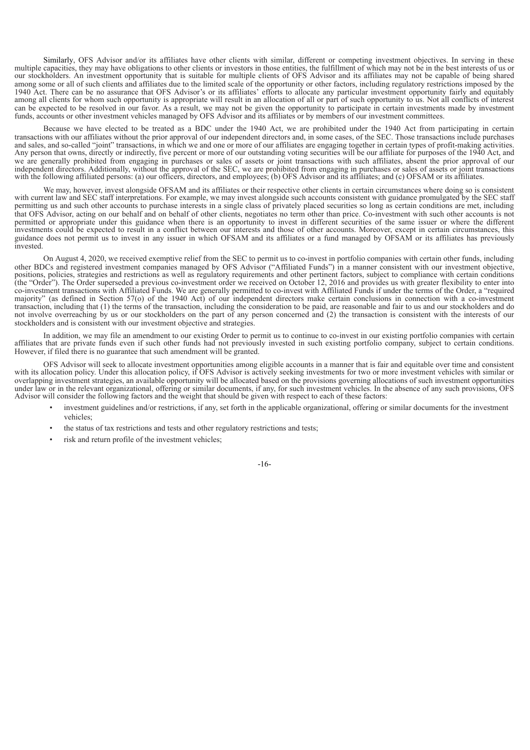Similarly, OFS Advisor and/or its affiliates have other clients with similar, different or competing investment objectives. In serving in these multiple capacities, they may have obligations to other clients or investors in those entities, the fulfillment of which may not be in the best interests of us or our stockholders. An investment opportunity that is suitable for multiple clients of OFS Advisor and its affiliates may not be capable of being shared among some or all of such clients and affiliates due to the limited scale of the opportunity or other factors, including regulatory restrictions imposed by the 1940 Act. There can be no assurance that OFS Advisor's or its affiliates' efforts to allocate any particular investment opportunity fairly and equitably among all clients for whom such opportunity is appropriate will result in an allocation of all or part of such opportunity to us. Not all conflicts of interest can be expected to be resolved in our favor. As a result, we may not be given the opportunity to participate in certain investments made by investment funds, accounts or other investment vehicles managed by OFS Advisor and its affiliates or by members of our investment committees.

Because we have elected to be treated as a BDC under the 1940 Act, we are prohibited under the 1940 Act from participating in certain transactions with our affiliates without the prior approval of our independent directors and, in some cases, of the SEC. Those transactions include purchases and sales, and so-called "joint" transactions, in which we and one or more of our affiliates are engaging together in certain types of profit-making activities. Any person that owns, directly or indirectly, five percent or more of our outstanding voting securities will be our affiliate for purposes of the 1940 Act, and we are generally prohibited from engaging in purchases or sales of assets or joint transactions with such affiliates, absent the prior approval of our independent directors. Additionally, without the approval of the SEC, we are prohibited from engaging in purchases or sales of assets or joint transactions with the following affiliated persons: (a) our officers, directors, and employees; (b) OFS Advisor and its affiliates; and (c) OFSAM or its affiliates.

We may, however, invest alongside OFSAM and its affiliates or their respective other clients in certain circumstances where doing so is consistent with current law and SEC staff interpretations. For example, we may invest alongside such accounts consistent with guidance promulgated by the SEC staff permitting us and such other accounts to purchase interests in a single class of privately placed securities so long as certain conditions are met, including that OFS Advisor, acting on our behalf and on behalf of other clients, negotiates no term other than price. Co-investment with such other accounts is not permitted or appropriate under this guidance when there is an opportunity to invest in different securities of the same issuer or where the different investments could be expected to result in a conflict between our interests and those of other accounts. Moreover, except in certain circumstances, this guidance does not permit us to invest in any issuer in which OFSAM and its affiliates or a fund managed by OFSAM or its affiliates has previously invested.

On August 4, 2020, we received exemptive relief from the SEC to permit us to co-invest in portfolio companies with certain other funds, including other BDCs and registered investment companies managed by OFS Advisor ("Affiliated Funds") in a manner consistent with our investment objective, positions, policies, strategies and restrictions as well as regulatory requirements and other pertinent factors, subject to compliance with certain conditions (the "Order"). The Order superseded a previous co-investment order we received on October 12, 2016 and provides us with greater flexibility to enter into co-investment transactions with Affiliated Funds. We are generally permitted to co-invest with Affiliated Funds if under the terms of the Order, a "required majority" (as defined in Section 57(o) of the 1940 Act) of our independent directors make certain conclusions in connection with a co-investment transaction, including that (1) the terms of the transaction, including the consideration to be paid, are reasonable and fair to us and our stockholders and do not involve overreaching by us or our stockholders on the part of any person concerned and (2) the transaction is consistent with the interests of our stockholders and is consistent with our investment objective and strategies.

In addition, we may file an amendment to our existing Order to permit us to continue to co-invest in our existing portfolio companies with certain affiliates that are private funds even if such other funds had not previously invested in such existing portfolio company, subject to certain conditions. However, if filed there is no guarantee that such amendment will be granted.

OFS Advisor will seek to allocate investment opportunities among eligible accounts in a manner that is fair and equitable over time and consistent with its allocation policy. Under this allocation policy, if OFS Advisor is actively seeking investments for two or more investment vehicles with similar or overlapping investment strategies, an available opportunity will be allocated based on the provisions governing allocations of such investment opportunities under law or in the relevant organizational, offering or similar documents, if any, for such investment vehicles. In the absence of any such provisions, OFS Advisor will consider the following factors and the weight that should be given with respect to each of these factors:

- investment guidelines and/or restrictions, if any, set forth in the applicable organizational, offering or similar documents for the investment vehicles;
- the status of tax restrictions and tests and other regulatory restrictions and tests;
- risk and return profile of the investment vehicles;

-16-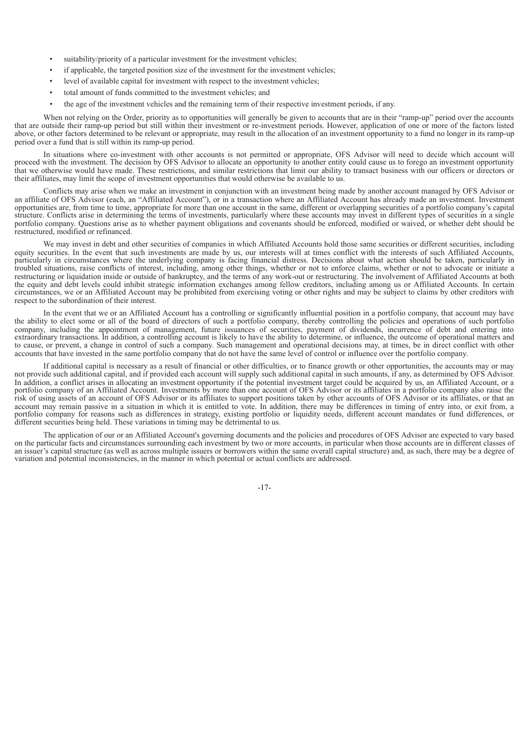- suitability/priority of a particular investment for the investment vehicles;
- if applicable, the targeted position size of the investment for the investment vehicles;
- level of available capital for investment with respect to the investment vehicles;
- total amount of funds committed to the investment vehicles; and
- the age of the investment vehicles and the remaining term of their respective investment periods, if any.

When not relying on the Order, priority as to opportunities will generally be given to accounts that are in their "ramp-up" period over the accounts that are outside their ramp-up period but still within their investment or re-investment periods. However, application of one or more of the factors listed above, or other factors determined to be relevant or appropriate, may result in the allocation of an investment opportunity to a fund no longer in its ramp-up period over a fund that is still within its ramp-up period.

In situations where co-investment with other accounts is not permitted or appropriate, OFS Advisor will need to decide which account will proceed with the investment. The decision by OFS Advisor to allocate an opportunity to another entity could cause us to forego an investment opportunity that we otherwise would have made. These restrictions, and similar restrictions that limit our ability to transact business with our officers or directors or their affiliates, may limit the scope of investment opportunities that would otherwise be available to us.

Conflicts may arise when we make an investment in conjunction with an investment being made by another account managed by OFS Advisor or an affiliate of OFS Advisor (each, an "Affiliated Account"), or in a transaction where an Affiliated Account has already made an investment. Investment opportunities are, from time to time, appropriate for more than one account in the same, different or overlapping securities of a portfolio company's capital structure. Conflicts arise in determining the terms of investments, particularly where these accounts may invest in different types of securities in a single portfolio company. Questions arise as to whether payment obligations and covenants should be enforced, modified or waived, or whether debt should be restructured, modified or refinanced.

We may invest in debt and other securities of companies in which Affiliated Accounts hold those same securities or different securities, including equity securities. In the event that such investments are made by us, our interests will at times conflict with the interests of such Affiliated Accounts, particularly in circumstances where the underlying company is facing financial distress. Decisions about what action should be taken, particularly in troubled situations, raise conflicts of interest, including, among other things, whether or not to enforce claims, whether or not to advocate or initiate a restructuring or liquidation inside or outside of bankruptcy, and the terms of any work-out or restructuring. The involvement of Affiliated Accounts at both the equity and debt levels could inhibit strategic information exchanges among fellow creditors, including among us or Affiliated Accounts. In certain circumstances, we or an Affiliated Account may be prohibited from exercising voting or other rights and may be subject to claims by other creditors with respect to the subordination of their interest.

In the event that we or an Affiliated Account has a controlling or significantly influential position in a portfolio company, that account may have the ability to elect some or all of the board of directors of such a portfolio company, thereby controlling the policies and operations of such portfolio company, including the appointment of management, future issuances of securities, payment of dividends, incurrence of debt and entering into extraordinary transactions. In addition, a controlling account is likely to have the ability to determine, or influence, the outcome of operational matters and to cause, or prevent, a change in control of such a company. Such management and operational decisions may, at times, be in direct conflict with other accounts that have invested in the same portfolio company that do not have the same level of control or influence over the portfolio company.

If additional capital is necessary as a result of financial or other difficulties, or to finance growth or other opportunities, the accounts may or may not provide such additional capital, and if provided each account will supply such additional capital in such amounts, if any, as determined by OFS Advisor. In addition, a conflict arises in allocating an investment opportunity if the potential investment target could be acquired by us, an Affiliated Account, or a portfolio company of an Affiliated Account. Investments by more than one account of OFS Advisor or its affiliates in a portfolio company also raise the risk of using assets of an account of OFS Advisor or its affiliates to support positions taken by other accounts of OFS Advisor or its affiliates, or that an account may remain passive in a situation in which it is entitled to vote. In addition, there may be differences in timing of entry into, or exit from, a portfolio company for reasons such as differences in strategy, existing portfolio or liquidity needs, different account mandates or fund differences, or different securities being held. These variations in timing may be detrimental to us.

The application of our or an Affiliated Account's governing documents and the policies and procedures of OFS Advisor are expected to vary based on the particular facts and circumstances surrounding each investment by two or more accounts, in particular when those accounts are in different classes of an issuer's capital structure (as well as across multiple issuers or borrowers within the same overall capital structure) and, as such, there may be a degree of variation and potential inconsistencies, in the manner in which potential or actual conflicts are addressed.

-17-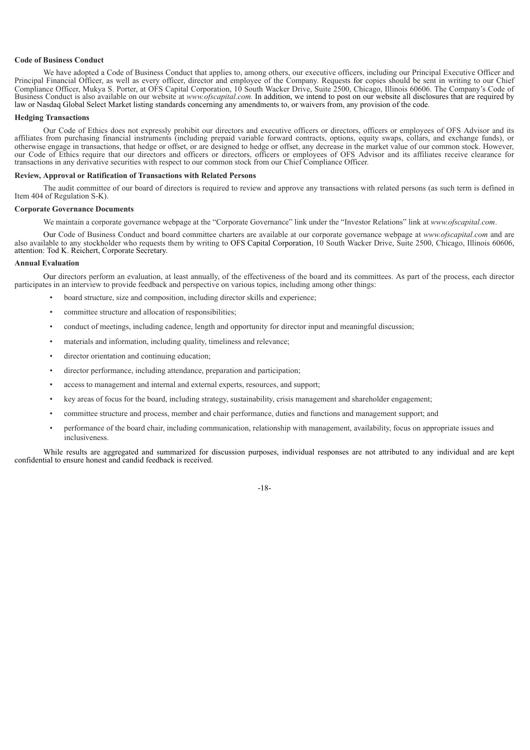### **Code of Business Conduct**

We have adopted a Code of Business Conduct that applies to, among others, our executive officers, including our Principal Executive Officer and Principal Financial Officer, as well as every officer, director and employee of the Company. Requests for copies should be sent in writing to our Chief Compliance Officer, Mukya S. Porter, at OFS Capital Corporation, 10 South Wacker Drive, Suite 2500, Chicago, Illinois 60606. The Company's Code of Business Conduct is also available on our website at *www.ofscapital.com.* In addition, we intend to post on our website all disclosures that are required by law or Nasdaq Global Select Market listing standards concerning any amendments to, or waivers from, any provision of the code.

#### **Hedging Transactions**

Our Code of Ethics does not expressly prohibit our directors and executive officers or directors, officers or employees of OFS Advisor and its affiliates from purchasing financial instruments (including prepaid variable forward contracts, options, equity swaps, collars, and exchange funds), or otherwise engage in transactions, that hedge or offset, or are designed to hedge or offset, any decrease in the market value of our common stock. However, our Code of Ethics require that our directors and officers or directors, officers or employees of OFS Advisor and its affiliates receive clearance for transactions in any derivative securities with respect to our common stock from our Chief Compliance Officer.

#### **Review, Approval or Ratification of Transactions with Related Persons**

The audit committee of our board of directors is required to review and approve any transactions with related persons (as such term is defined in Item 404 of Regulation S-K).

### **Corporate Governance Documents**

We maintain a corporate governance webpage at the "Corporate Governance" link under the "Investor Relations" link at *www.ofscapital.com*.

Our Code of Business Conduct and board committee charters are available at our corporate governance webpage at *www.ofscapital.com* and are also available to any stockholder who requests them by writing to OFS Capital Corporation, 10 South Wacker Drive, Suite 2500, Chicago, Illinois 60606, attention: Tod K. Reichert, Corporate Secretary.

#### **Annual Evaluation**

Our directors perform an evaluation, at least annually, of the effectiveness of the board and its committees. As part of the process, each director participates in an interview to provide feedback and perspective on various topics, including among other things:

- board structure, size and composition, including director skills and experience;
- committee structure and allocation of responsibilities;
- conduct of meetings, including cadence, length and opportunity for director input and meaningful discussion;
- materials and information, including quality, timeliness and relevance;
- director orientation and continuing education;
- director performance, including attendance, preparation and participation;
- access to management and internal and external experts, resources, and support;
- key areas of focus for the board, including strategy, sustainability, crisis management and shareholder engagement;
- committee structure and process, member and chair performance, duties and functions and management support; and
- performance of the board chair, including communication, relationship with management, availability, focus on appropriate issues and inclusiveness.

While results are aggregated and summarized for discussion purposes, individual responses are not attributed to any individual and are kept confidential to ensure honest and candid feedback is received.

-18-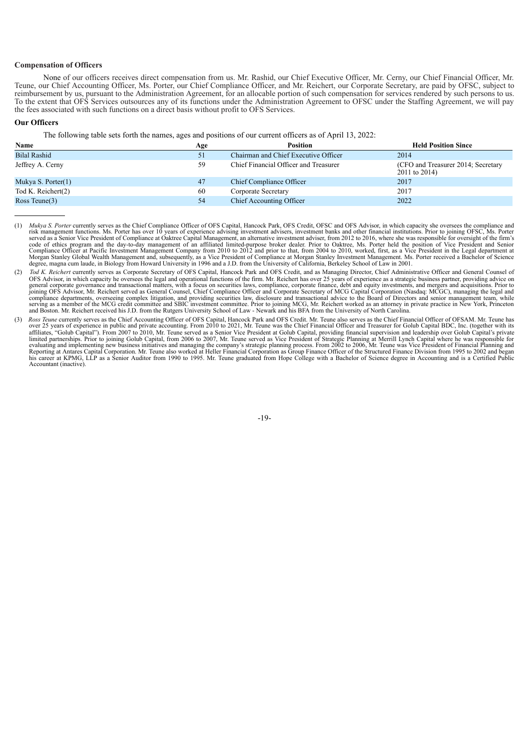# **Compensation of Officers**

None of our officers receives direct compensation from us. Mr. Rashid, our Chief Executive Officer, Mr. Cerny, our Chief Financial Officer, Mr. Teune, our Chief Accounting Officer, Ms. Porter, our Chief Compliance Officer, and Mr. Reichert, our Corporate Secretary, are paid by OFSC, subject to reimbursement by us, pursuant to the Administration Agreement, for an allocable portion of such compensation for services rendered by such persons to us. To the extent that OFS Services outsources any of its functions under the Administration Agreement to OFSC under the Staffing Agreement, we will pay the fees associated with such functions on a direct basis without profit to OFS Services.

# **Our Officers**

The following table sets forth the names, ages and positions of our current officers as of April 13, 2022:

| Name                | Age | Position                              | <b>Held Position Since</b>                          |
|---------------------|-----|---------------------------------------|-----------------------------------------------------|
| <b>Bilal Rashid</b> | 51  | Chairman and Chief Executive Officer  | 2014                                                |
| Jeffrey A. Cerny    | 59  | Chief Financial Officer and Treasurer | (CFO and Treasurer 2014; Secretary<br>2011 to 2014) |
| Mukya S. Porter(1)  | 47  | Chief Compliance Officer              | 2017                                                |
| Tod K. Reichert(2)  | 60  | Corporate Secretary                   | 2017                                                |
| Ross Teune $(3)$    | 54  | <b>Chief Accounting Officer</b>       | 2022                                                |

<sup>(1)</sup> Mukya S. Porter currently serves as the Chief Compliance Officer of OFS Capital, Hancock Park, OFS Credit, OFSC and OFS Advisor, in which capacity she oversees the compliance and risk management functions. Ms. Porter Morgan Stanley Global Wealth Management and, subsequently, as a Vice President of Compliance at Morgan Stanley Investment Management. Ms. Porter received a Bachelor of Science degree, magna cum laude, in Biology from Howard University in 1996 and a J.D. from the University of California, Berkeley School of Law in 2001.

-19-

<sup>(2)</sup> *Tod K. Reichert* currently serves as Corporate Secretary of OFS Capital, Hancock Park and OFS Credit, and as Managing Director, Chief Administrative Officer and General Counsel of OFS Advisor, in which capacity he oversees the legal and operational functions of the firm. Mr. Reichert has over 25 years of experience as a strategic business partner, providing advice on general corporate governance and compliance departments, overseeing complex litigation, and providing securities law, disclosure and transactional advice to the Board of Directors and senior management team, while<br>serving as a member of the MCG credit com

<sup>(3)</sup> Ross Teune currently serves as the Chief Accounting Officer of OFS Capital, Hancock Park and OFS Credit. Mr. Teune also serves as the Chief Financial Officer of OFSAM. Mr. Teune has over 25 years of experience in publi Reporting at Antares Capital Corporation. Mr. Teune also worked at Heller Financial Corporation as Group Finance Officer of the Structured Finance Division from 1995 to 2002 and began<br>his career at KPMG, LLP as a Senior Au Accountant (inactive).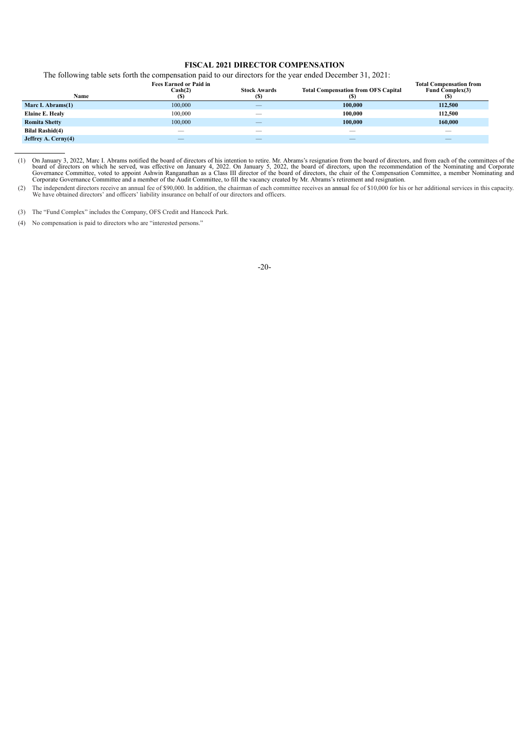# **FISCAL 2021 DIRECTOR COMPENSATION**

The following table sets forth the compensation paid to our directors for the year ended December 31, 2021:

| Name                   | <b>Fees Earned or Paid in</b><br>Cash(2)<br>(S) | <b>Stock Awards</b><br>(S) | <b>Total Compensation from OFS Capital</b><br>(S) | <b>Total Compensation from</b><br>Fund Complex(3) |
|------------------------|-------------------------------------------------|----------------------------|---------------------------------------------------|---------------------------------------------------|
| Marc I. Abrams(1)      | 100,000                                         |                            | 100,000                                           | 112,500                                           |
| Elaine E. Healy        | 100,000                                         |                            | 100.000                                           | 112,500                                           |
| <b>Romita Shetty</b>   | 100,000                                         |                            | 100.000                                           | 160,000                                           |
| <b>Bilal Rashid(4)</b> | --                                              | --                         | __                                                | $\qquad \qquad$                                   |
| Jeffrey A. Cerny(4)    |                                                 |                            |                                                   |                                                   |

(1) On January 3, 2022, Marc I. Abrams notified the board of directors of his intention to retire. Mr. Abrams's resignation from the board of directors, and from each of the committees of the board of directors on which he

(2) The independent directors receive an annual fee of \$90,000. In addition, the chairman of each committee receives an annual fee of \$10,000 for his or her additional services in this capacity. We have obtained directors' and officers' liability insurance on behalf of our directors and officers.

(3) The "Fund Complex" includes the Company, OFS Credit and Hancock Park.

(4) No compensation is paid to directors who are "interested persons."

-20-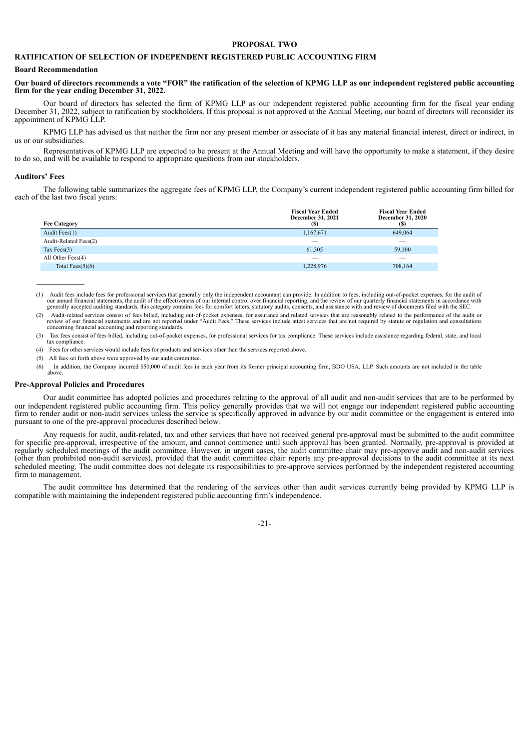## **PROPOSAL TWO**

# **RATIFICATION OF SELECTION OF INDEPENDENT REGISTERED PUBLIC ACCOUNTING FIRM**

#### **Board Recommendation**

# Our board of directors recommends a vote "FOR" the ratification of the selection of KPMG LLP as our independent registered public accounting **firm for the year ending December 31, 2022.**

Our board of directors has selected the firm of KPMG LLP as our independent registered public accounting firm for the fiscal year ending December 31, 2022, subject to ratification by stockholders. If this proposal is not approved at the Annual Meeting, our board of directors will reconsider its appointment of KPMG LLP.

KPMG LLP has advised us that neither the firm nor any present member or associate of it has any material financial interest, direct or indirect, in us or our subsidiaries.

Representatives of KPMG LLP are expected to be present at the Annual Meeting and will have the opportunity to make a statement, if they desire to do so, and will be available to respond to appropriate questions from our stockholders.

#### **Auditors' Fees**

The following table summarizes the aggregate fees of KPMG LLP, the Company's current independent registered public accounting firm billed for each of the last two fiscal years:

|                       | <b>Fiscal Year Ended</b><br>December 31, 2021 | <b>Fiscal Year Ended</b><br>December 31, 2020 |
|-----------------------|-----------------------------------------------|-----------------------------------------------|
| <b>Fee Category</b>   | (S)                                           | (S)                                           |
| Audit Fees(1)         | 1,167,671                                     | 649,064                                       |
| Audit-Related Fees(2) | $\overline{\phantom{a}}$                      |                                               |
| Tax Fees $(3)$        | 61,305                                        | 59,100                                        |
| All Other Fees(4)     | __                                            |                                               |
| Total Fees $(5)(6)$   | 1,228,976                                     | 708,164                                       |

Audit fees include fees for professional services that generally only the independent accountant can provide. In addition to fees, including out-of-pocket expenses, for the audit of our annual financial statements, the aud

(3) Tax fees consist of fees billed, including out-of-pocket expenses, for professional services for tax compliance. These services include assistance regarding federal, state, and local tax compliance.

(4) Fees for other services would include fees for products and services other than the services reported above.

- (5) All fees set forth above were approved by our audit committee.
- (6) In addition, the Company incurred \$50,000 of audit fees in each year from its former principal accounting firm, BDO USA, LLP. Such amounts are not included in the table above.

### **Pre-Approval Policies and Procedures**

Our audit committee has adopted policies and procedures relating to the approval of all audit and non-audit services that are to be performed by our independent registered public accounting firm. This policy generally provides that we will not engage our independent registered public accounting firm to render audit or non-audit services unless the service is specifically approved in advance by our audit committee or the engagement is entered into pursuant to one of the pre-approval procedures described below.

Any requests for audit, audit-related, tax and other services that have not received general pre-approval must be submitted to the audit committee for specific pre-approval, irrespective of the amount, and cannot commence until such approval has been granted. Normally, pre-approval is provided at regularly scheduled meetings of the audit committee. However, in urgent cases, the audit committee chair may pre-approve audit and non-audit services (other than prohibited non-audit services), provided that the audit committee chair reports any pre-approval decisions to the audit committee at its next scheduled meeting. The audit committee does not delegate its responsibilities to pre-approve services performed by the independent registered accounting firm to management.

The audit committee has determined that the rendering of the services other than audit services currently being provided by KPMG LLP is compatible with maintaining the independent registered public accounting firm's independence.



<sup>(2)</sup> Audit-related services consist of fees billed, including out-of-pocket expenses, for assurance and related services that are reasonably related to the performance of the audit or review of our financial statements and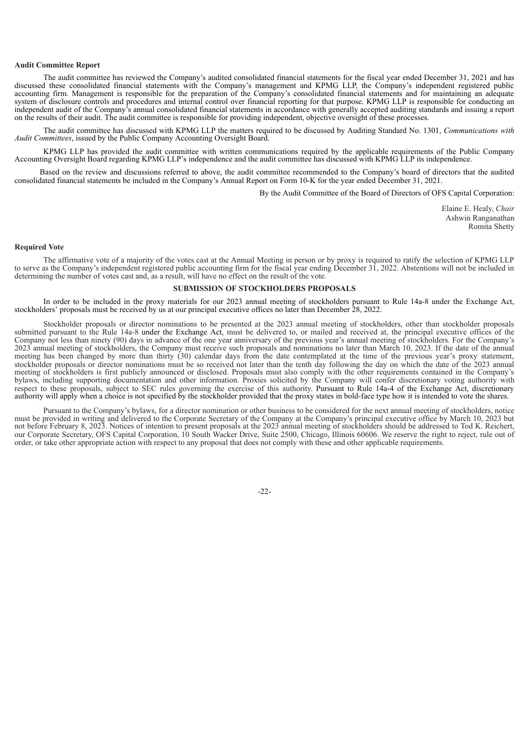## **Audit Committee Report**

The audit committee has reviewed the Company's audited consolidated financial statements for the fiscal year ended December 31, 2021 and has discussed these consolidated financial statements with the Company's management and KPMG LLP, the Company's independent registered public accounting firm. Management is responsible for the preparation of the Company's consolidated financial statements and for maintaining an adequate system of disclosure controls and procedures and internal control over financial reporting for that purpose. KPMG LLP is responsible for conducting an independent audit of the Company's annual consolidated financial statements in accordance with generally accepted auditing standards and issuing a report on the results of their audit. The audit committee is responsible for providing independent, objective oversight of these processes.

The audit committee has discussed with KPMG LLP the matters required to be discussed by Auditing Standard No. 1301, *Communications with Audit Committees*, issued by the Public Company Accounting Oversight Board.

KPMG LLP has provided the audit committee with written communications required by the applicable requirements of the Public Company Accounting Oversight Board regarding KPMG LLP's independence and the audit committee has discussed with KPMG LLP its independence.

Based on the review and discussions referred to above, the audit committee recommended to the Company's board of directors that the audited consolidated financial statements be included in the Company's Annual Report on Form 10-K for the year ended December 31, 2021.

By the Audit Committee of the Board of Directors of OFS Capital Corporation:

Elaine E. Healy, *Chair* Ashwin Ranganathan Romita Shetty

### **Required Vote**

The affirmative vote of a majority of the votes cast at the Annual Meeting in person or by proxy is required to ratify the selection of KPMG LLP to serve as the Company's independent registered public accounting firm for the fiscal year ending December 31, 2022. Abstentions will not be included in determining the number of votes cast and, as a result, will have no effect on the result of the vote.

### **SUBMISSION OF STOCKHOLDERS PROPOSALS**

In order to be included in the proxy materials for our 2023 annual meeting of stockholders pursuant to Rule 14a-8 under the Exchange Act, stockholders' proposals must be received by us at our principal executive offices no later than December 28, 2022.

Stockholder proposals or director nominations to be presented at the 2023 annual meeting of stockholders, other than stockholder proposals submitted pursuant to the Rule 14a-8 under the Exchange Act, must be delivered to, or mailed and received at, the principal executive offices of the Company not less than ninety (90) days in advance of the one year anniversary of the previous year's annual meeting of stockholders. For the Company's 2023 annual meeting of stockholders, the Company must receive such proposals and nominations no later than March 10, 2023. If the date of the annual meeting has been changed by more than thirty (30) calendar days from the date contemplated at the time of the previous year's proxy statement, stockholder proposals or director nominations must be so received not later than the tenth day following the day on which the date of the 2023 annual meeting of stockholders is first publicly announced or disclosed. Proposals must also comply with the other requirements contained in the Company's bylaws, including supporting documentation and other information. Proxies solicited by the Company will confer discretionary voting authority with respect to these proposals, subject to SEC rules governing the exercise of this authority. Pursuant to Rule 14a-4 of the Exchange Act, discretionary authority will apply when a choice is not specified by the stockholder provided that the proxy states in bold-face type how it is intended to vote the shares.

Pursuant to the Company's bylaws, for a director nomination or other business to be considered for the next annual meeting of stockholders, notice must be provided in writing and delivered to the Corporate Secretary of the Company at the Company's principal executive office by March 10, 2023 but not before February 8, 2023. Notices of intention to present proposals at the 2023 annual meeting of stockholders should be addressed to Tod K. Reichert, our Corporate Secretary, OFS Capital Corporation, 10 South Wacker Drive, Suite 2500, Chicago, Illinois 60606. We reserve the right to reject, rule out of order, or take other appropriate action with respect to any proposal that does not comply with these and other applicable requirements.

 $-22-$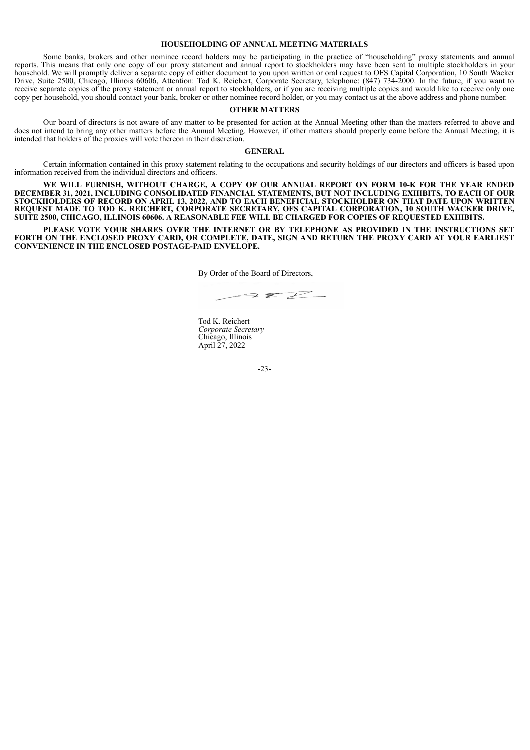## **HOUSEHOLDING OF ANNUAL MEETING MATERIALS**

Some banks, brokers and other nominee record holders may be participating in the practice of "householding" proxy statements and annual reports. This means that only one copy of our proxy statement and annual report to stockholders may have been sent to multiple stockholders in your household. We will promptly deliver a separate copy of either document to you upon written or oral request to OFS Capital Corporation, 10 South Wacker Drive, Suite 2500, Chicago, Illinois 60606, Attention: Tod K. Reichert, Corporate Secretary, telephone: (847) 734-2000. In the future, if you want to receive separate copies of the proxy statement or annual report to stockholders, or if you are receiving multiple copies and would like to receive only one copy per household, you should contact your bank, broker or other nominee record holder, or you may contact us at the above address and phone number.

#### **OTHER MATTERS**

Our board of directors is not aware of any matter to be presented for action at the Annual Meeting other than the matters referred to above and does not intend to bring any other matters before the Annual Meeting. However, if other matters should properly come before the Annual Meeting, it is intended that holders of the proxies will vote thereon in their discretion.

#### **GENERAL**

Certain information contained in this proxy statement relating to the occupations and security holdings of our directors and officers is based upon information received from the individual directors and officers.

**WE WILL FURNISH, WITHOUT CHARGE, A COPY OF OUR ANNUAL REPORT ON FORM 10-K FOR THE YEAR ENDED DECEMBER 31, 2021, INCLUDING CONSOLIDATED FINANCIAL STATEMENTS, BUT NOT INCLUDING EXHIBITS, TO EACH OF OUR STOCKHOLDERS OF RECORD ON APRIL 13, 2022, AND TO EACH BENEFICIAL STOCKHOLDER ON THAT DATE UPON WRITTEN REQUEST MADE TO TOD K. REICHERT, CORPORATE SECRETARY, OFS CAPITAL CORPORATION, 10 SOUTH WACKER DRIVE, SUITE 2500, CHICAGO, ILLINOIS 60606. A REASONABLE FEE WILL BE CHARGED FOR COPIES OF REQUESTED EXHIBITS.**

**PLEASE VOTE YOUR SHARES OVER THE INTERNET OR BY TELEPHONE AS PROVIDED IN THE INSTRUCTIONS SET** FORTH ON THE ENCLOSED PROXY CARD, OR COMPLETE, DATE, SIGN AND RETURN THE PROXY CARD AT YOUR EARLIEST **CONVENIENCE IN THE ENCLOSED POSTAGE-PAID ENVELOPE.**

By Order of the Board of Directors,

 $\rightarrow$   $Z$ 

Tod K. Reichert *Corporate Secretary* Chicago, Illinois April 27, 2022

-23-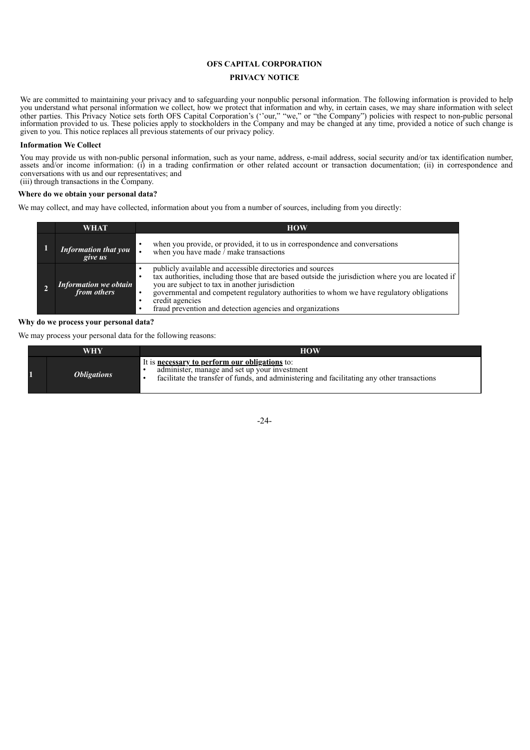# **OFS CAPITAL CORPORATION**

# **PRIVACY NOTICE**

We are committed to maintaining your privacy and to safeguarding your nonpublic personal information. The following information is provided to help you understand what personal information we collect, how we protect that information and why, in certain cases, we may share information with select other parties. This Privacy Notice sets forth OFS Capital Corporation's (''our," "we," or "the Company") policies with respect to non-public personal information provided to us. These policies apply to stockholders in the Company and may be changed at any time, provided a notice of such change is given to you. This notice replaces all previous statements of our privacy policy.

# **Information We Collect**

You may provide us with non-public personal information, such as your name, address, e-mail address, social security and/or tax identification number, assets and/or income information: (i) in a trading confirmation or other related account or transaction documentation; (ii) in correspondence and conversations with us and our representatives; and (iii) through transactions in the Company.

# **Where do we obtain your personal data?**

We may collect, and may have collected, information about you from a number of sources, including from you directly:

| WHAT                                   | <b>HOW</b>                                                                                                                                                                                                                                                                                                                                                                                   |
|----------------------------------------|----------------------------------------------------------------------------------------------------------------------------------------------------------------------------------------------------------------------------------------------------------------------------------------------------------------------------------------------------------------------------------------------|
| <b>Information that you</b><br>give us | when you provide, or provided, it to us in correspondence and conversations<br>when you have made $\frac{1}{x}$ make transactions                                                                                                                                                                                                                                                            |
| Information we obtain<br>from others   | publicly available and accessible directories and sources<br>tax authorities, including those that are based outside the jurisdiction where you are located if<br>you are subject to tax in another jurisdiction<br>governmental and competent regulatory authorities to whom we have regulatory obligations<br>credit agencies<br>fraud prevention and detection agencies and organizations |

## **Why do we process your personal data?**

We may process your personal data for the following reasons:

| WHY                       | <b>HOW</b>                                                                                                                                                                                            |
|---------------------------|-------------------------------------------------------------------------------------------------------------------------------------------------------------------------------------------------------|
| <i><b>Obligations</b></i> | It is <b>necessary to perform our obligations</b> to:<br>administer, manage and set up your investment<br>facilitate the transfer of funds, and administering and facilitating any other transactions |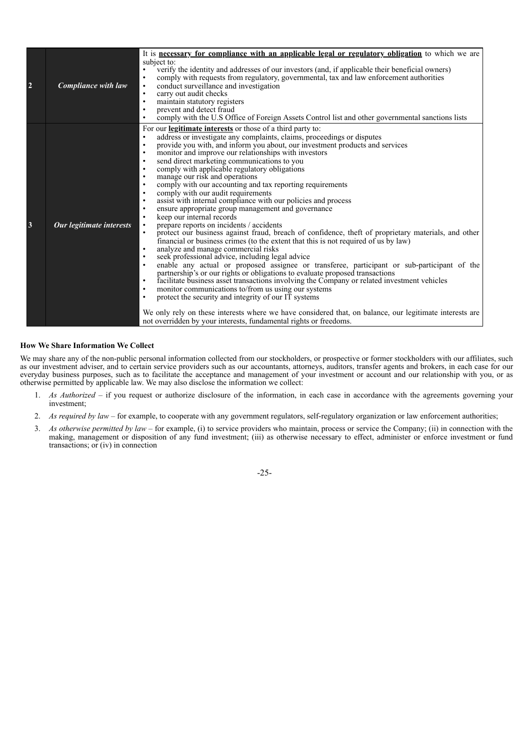| $\overline{2}$ | <b>Compliance with law</b> | It is <b>necessary for compliance with an applicable legal or regulatory obligation</b> to which we are<br>subject to:<br>verify the identity and addresses of our investors (and, if applicable their beneficial owners)<br>$\bullet$<br>comply with requests from regulatory, governmental, tax and law enforcement authorities<br>$\bullet$<br>conduct surveillance and investigation<br>$\bullet$<br>carry out audit checks<br>$\bullet$<br>maintain statutory registers<br>$\bullet$<br>prevent and detect fraud<br>$\bullet$<br>comply with the U.S Office of Foreign Assets Control list and other governmental sanctions lists<br>$\bullet$                                                                                                                                                                                                                                                                                                                                                                                                                                                                                                                                                                                                                                                                                                                                                                                                                                                                                                                                                                                                                                                                                                                                                                                                   |
|----------------|----------------------------|-------------------------------------------------------------------------------------------------------------------------------------------------------------------------------------------------------------------------------------------------------------------------------------------------------------------------------------------------------------------------------------------------------------------------------------------------------------------------------------------------------------------------------------------------------------------------------------------------------------------------------------------------------------------------------------------------------------------------------------------------------------------------------------------------------------------------------------------------------------------------------------------------------------------------------------------------------------------------------------------------------------------------------------------------------------------------------------------------------------------------------------------------------------------------------------------------------------------------------------------------------------------------------------------------------------------------------------------------------------------------------------------------------------------------------------------------------------------------------------------------------------------------------------------------------------------------------------------------------------------------------------------------------------------------------------------------------------------------------------------------------------------------------------------------------------------------------------------------------|
| 3              | Our legitimate interests   | For our <b>legitimate interests</b> or those of a third party to:<br>address or investigate any complaints, claims, proceedings or disputes<br>$\bullet$<br>provide you with, and inform you about, our investment products and services<br>$\bullet$<br>monitor and improve our relationships with investors<br>$\bullet$<br>send direct marketing communications to you<br>$\bullet$<br>comply with applicable regulatory obligations<br>$\bullet$<br>manage our risk and operations<br>$\bullet$<br>comply with our accounting and tax reporting requirements<br>$\bullet$<br>comply with our audit requirements<br>$\bullet$<br>assist with internal compliance with our policies and process<br>$\bullet$<br>ensure appropriate group management and governance<br>$\bullet$<br>keep our internal records<br>$\bullet$<br>prepare reports on incidents / accidents<br>$\bullet$<br>protect our business against fraud, breach of confidence, theft of proprietary materials, and other<br>$\bullet$<br>financial or business crimes (to the extent that this is not required of us by law)<br>analyze and manage commercial risks<br>$\bullet$<br>seek professional advice, including legal advice<br>$\bullet$<br>enable any actual or proposed assignee or transferee, participant or sub-participant of the<br>$\bullet$<br>partnership's or our rights or obligations to evaluate proposed transactions<br>facilitate business asset transactions involving the Company or related investment vehicles<br>$\bullet$<br>monitor communications to/from us using our systems<br>$\bullet$<br>protect the security and integrity of our IT systems<br>$\bullet$<br>We only rely on these interests where we have considered that, on balance, our legitimate interests are<br>not overridden by your interests, fundamental rights or freedoms. |

# **How We Share Information We Collect**

We may share any of the non-public personal information collected from our stockholders, or prospective or former stockholders with our affiliates, such as our investment adviser, and to certain service providers such as our accountants, attorneys, auditors, transfer agents and brokers, in each case for our everyday business purposes, such as to facilitate the acceptance and management of your investment or account and our relationship with you, or as otherwise permitted by applicable law. We may also disclose the information we collect:

- 1. *As Authorized* if you request or authorize disclosure of the information, in each case in accordance with the agreements governing your investment;
- 2. *As required by law –* for example, to cooperate with any government regulators, self-regulatory organization or law enforcement authorities;
- 3. *As otherwise permitted by law* for example, (i) to service providers who maintain, process or service the Company; (ii) in connection with the making, management or disposition of any fund investment; (iii) as otherwise necessary to effect, administer or enforce investment or fund transactions; or (iv) in connection

-25-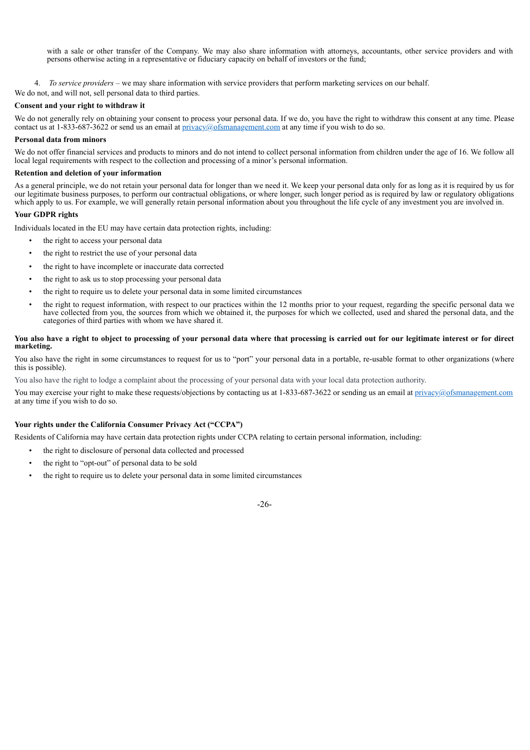with a sale or other transfer of the Company. We may also share information with attorneys, accountants, other service providers and with persons otherwise acting in a representative or fiduciary capacity on behalf of investors or the fund;

- 4. *To service providers* we may share information with service providers that perform marketing services on our behalf.
- We do not, and will not, sell personal data to third parties.

# **Consent and your right to withdraw it**

We do not generally rely on obtaining your consent to process your personal data. If we do, you have the right to withdraw this consent at any time. Please contact us at  $1-833-687-3622$  or send us an email at  $\frac{\text{private}}{\text{private}}$  of smanagement.com at any time if you wish to do so.

# **Personal data from minors**

We do not offer financial services and products to minors and do not intend to collect personal information from children under the age of 16. We follow all local legal requirements with respect to the collection and processing of a minor's personal information.

# **Retention and deletion of your information**

As a general principle, we do not retain your personal data for longer than we need it. We keep your personal data only for as long as it is required by us for our legitimate business purposes, to perform our contractual obligations, or where longer, such longer period as is required by law or regulatory obligations which apply to us. For example, we will generally retain personal information about you throughout the life cycle of any investment you are involved in.

# **Your GDPR rights**

Individuals located in the EU may have certain data protection rights, including:

- the right to access your personal data
- the right to restrict the use of your personal data
- the right to have incomplete or inaccurate data corrected
- the right to ask us to stop processing your personal data
- the right to require us to delete your personal data in some limited circumstances
- the right to request information, with respect to our practices within the 12 months prior to your request, regarding the specific personal data we have collected from you, the sources from which we obtained it, the purposes for which we collected, used and shared the personal data, and the categories of third parties with whom we have shared it.

# You also have a right to object to processing of your personal data where that processing is carried out for our legitimate interest or for direct **marketing.**

You also have the right in some circumstances to request for us to "port" your personal data in a portable, re-usable format to other organizations (where this is possible).

You also have the right to lodge a complaint about the processing of your personal data with your local data protection authority.

You may exercise your right to make these requests/objections by contacting us at 1-833-687-3622 or sending us an email at privacy@ofsmanagement.com at any time if you wish to do so.

# **Your rights under the California Consumer Privacy Act ("CCPA")**

Residents of California may have certain data protection rights under CCPA relating to certain personal information, including:

- the right to disclosure of personal data collected and processed
- the right to "opt-out" of personal data to be sold
- the right to require us to delete your personal data in some limited circumstances

-26-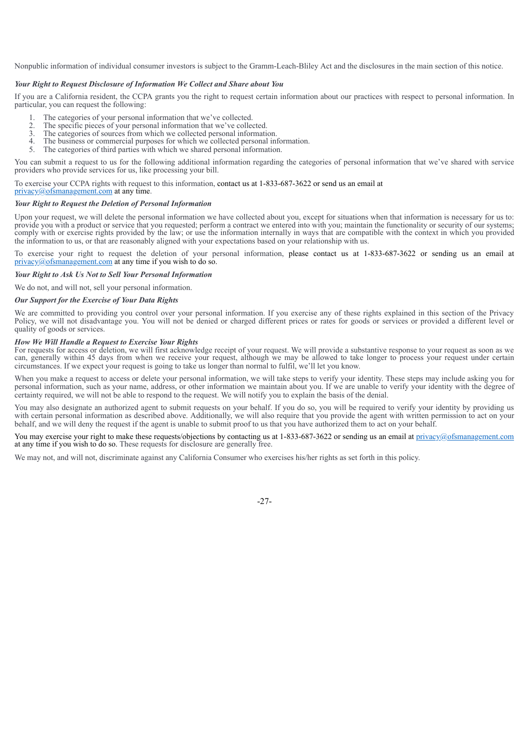Nonpublic information of individual consumer investors is subject to the Gramm-Leach-Bliley Act and the disclosures in the main section of this notice.

## *Your Right to Request Disclosure of Information We Collect and Share about You*

If you are a California resident, the CCPA grants you the right to request certain information about our practices with respect to personal information. In particular, you can request the following:

- 1. The categories of your personal information that we've collected.<br>
2. The specific pieces of your personal information that we've collected.
- 2. The specific pieces of your personal information that we've collected.<br>3. The categories of sources from which we collected personal information
- 3. The categories of sources from which we collected personal information.<br>4. The business or commercial purposes for which we collected personal in
- The business or commercial purposes for which we collected personal information.
- 5. The categories of third parties with which we shared personal information.

You can submit a request to us for the following additional information regarding the categories of personal information that we've shared with service providers who provide services for us, like processing your bill.

To exercise your CCPA rights with request to this information, contact us at 1-833-687-3622 or send us an email at

privacy@ofsmanagement.com at any time.

## *Your Right to Request the Deletion of Personal Information*

Upon your request, we will delete the personal information we have collected about you, except for situations when that information is necessary for us to: provide you with a product or service that you requested; perform a contract we entered into with you; maintain the functionality or security of our systems; comply with or exercise rights provided by the law; or use the information internally in ways that are compatible with the context in which you provided the information to us, or that are reasonably aligned with your expectations based on your relationship with us.

To exercise your right to request the deletion of your personal information, please contact us at 1-833-687-3622 or sending us an email at privacy@ofsmanagement.com at any time if you wish to do so.

### *Your Right to Ask Us Not to Sell Your Personal Information*

We do not, and will not, sell your personal information.

### *Our Support for the Exercise of Your Data Rights*

We are committed to providing you control over your personal information. If you exercise any of these rights explained in this section of the Privacy Policy, we will not disadvantage you. You will not be denied or charged different prices or rates for goods or services or provided a different level or quality of goods or services.

#### *How We Will Handle a Request to Exercise Your Rights*

For requests for access or deletion, we will first acknowledge receipt of your request. We will provide a substantive response to your request as soon as we can, generally within 45 days from when we receive your request, although we may be allowed to take longer to process your request under certain circumstances. If we expect your request is going to take us longer than normal to fulfil, we'll let you know.

When you make a request to access or delete your personal information, we will take steps to verify your identity. These steps may include asking you for personal information, such as your name, address, or other information we maintain about you. If we are unable to verify your identity with the degree of certainty required, we will not be able to respond to the request. We will notify you to explain the basis of the denial.

You may also designate an authorized agent to submit requests on your behalf. If you do so, you will be required to verify your identity by providing us with certain personal information as described above. Additionally, we will also require that you provide the agent with written permission to act on your behalf, and we will deny the request if the agent is unable to submit proof to us that you have authorized them to act on your behalf.

You may exercise your right to make these requests/objections by contacting us at 1-833-687-3622 or sending us an email at privacy@ofsmanagement.com at any time if you wish to do so. These requests for disclosure are generally free.

We may not, and will not, discriminate against any California Consumer who exercises his/her rights as set forth in this policy.

-27-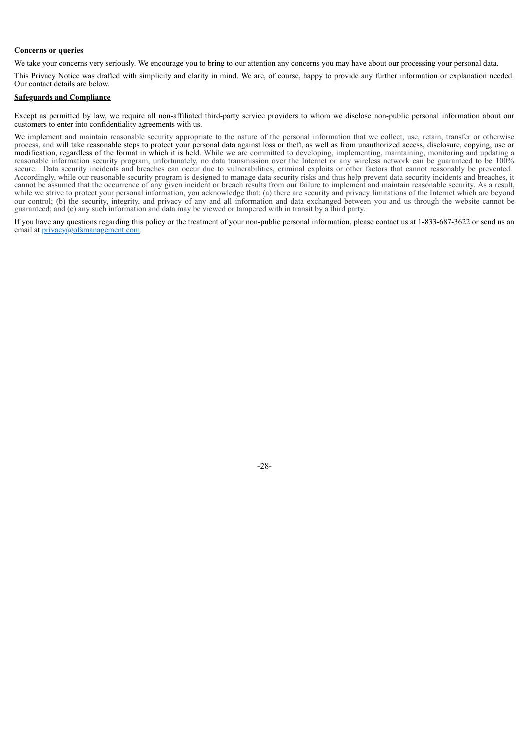## **Concerns or queries**

We take your concerns very seriously. We encourage you to bring to our attention any concerns you may have about our processing your personal data.

This Privacy Notice was drafted with simplicity and clarity in mind. We are, of course, happy to provide any further information or explanation needed. Our contact details are below.

# **Safeguards and Compliance**

Except as permitted by law, we require all non-affiliated third-party service providers to whom we disclose non-public personal information about our customers to enter into confidentiality agreements with us.

We implement and maintain reasonable security appropriate to the nature of the personal information that we collect, use, retain, transfer or otherwise process, and will take reasonable steps to protect your personal data against loss or theft, as well as from unauthorized access, disclosure, copying, use or modification, regardless of the format in which it is held. While we are committed to developing, implementing, maintaining, monitoring and updating a reasonable information security program, unfortunately, no data transmission over the Internet or any wireless network can be guaranteed to be 100% secure. Data security incidents and breaches can occur due to vulnerabilities, criminal exploits or other factors that cannot reasonably be prevented. Accordingly, while our reasonable security program is designed to manage data security risks and thus help prevent data security incidents and breaches, it cannot be assumed that the occurrence of any given incident or breach results from our failure to implement and maintain reasonable security. As a result, while we strive to protect your personal information, you acknowledge that: (a) there are security and privacy limitations of the Internet which are beyond our control; (b) the security, integrity, and privacy of any and all information and data exchanged between you and us through the website cannot be guaranteed; and (c) any such information and data may be viewed or tampered with in transit by a third party.

If you have any questions regarding this policy or the treatment of your non-public personal information, please contact us at 1-833-687-3622 or send us an email at privacy@ofsmanagement.com.

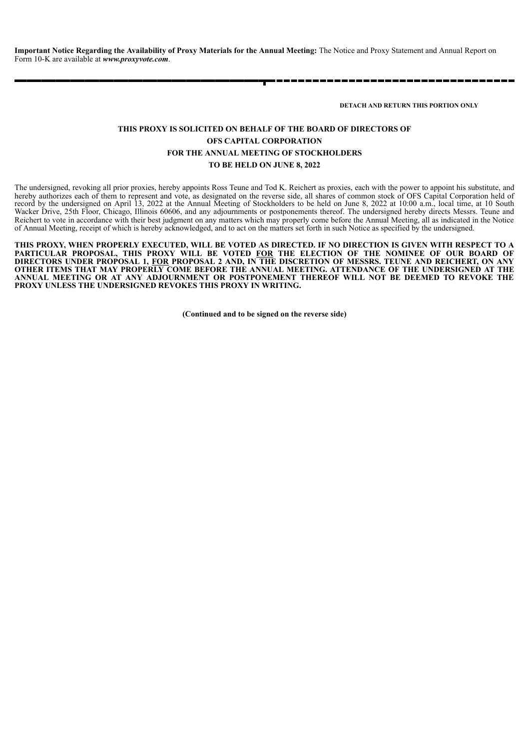**Important Notice Regarding the Availability of Proxy Materials for the Annual Meeting:** The Notice and Proxy Statement and Annual Report on Form 10-K are available at *www.proxyvote.com*.

**DETACH AND RETURN THIS PORTION ONLY**

# **THIS PROXY IS SOLICITED ON BEHALF OF THE BOARD OF DIRECTORS OF OFS CAPITAL CORPORATION FOR THE ANNUAL MEETING OF STOCKHOLDERS TO BE HELD ON JUNE 8, 2022**

The undersigned, revoking all prior proxies, hereby appoints Ross Teune and Tod K. Reichert as proxies, each with the power to appoint his substitute, and hereby authorizes each of them to represent and vote, as designated on the reverse side, all shares of common stock of OFS Capital Corporation held of record by the undersigned on April 13, 2022 at the Annual Meeting of Stockholders to be held on June 8, 2022 at 10:00 a.m., local time, at 10 South Wacker Drive, 25th Floor, Chicago, Illinois 60606, and any adjournments or postponements thereof. The undersigned hereby directs Messrs. Teune and Reichert to vote in accordance with their best judgment on any matters which may properly come before the Annual Meeting, all as indicated in the Notice of Annual Meeting, receipt of which is hereby acknowledged, and to act on the matters set forth in such Notice as specified by the undersigned.

THIS PROXY, WHEN PROPERLY EXECUTED, WILL BE VOTED AS DIRECTED. IF NO DIRECTION IS GIVEN WITH RESPECT TO A **PARTICULAR PROPOSAL, THIS PROXY WILL BE VOTED FOR THE ELECTION OF THE NOMINEE OF OUR BOARD OF** DIRECTORS UNDER PROPOSAL 1, <u>FOR</u> PROPOSAL 2 AND, IN THE DISCRETION OF MESSRS. TEUNE AND REICHERT, ON ANY **OTHER ITEMS THAT MAY PROPERLY COME BEFORE THE ANNUAL MEETING. ATTENDANCE OF THE UNDERSIGNED AT THE ANNUAL MEETING OR AT ANY ADJOURNMENT OR POSTPONEMENT THEREOF WILL NOT BE DEEMED TO REVOKE THE PROXY UNLESS THE UNDERSIGNED REVOKES THIS PROXY IN WRITING.**

**(Continued and to be signed on the reverse side)**